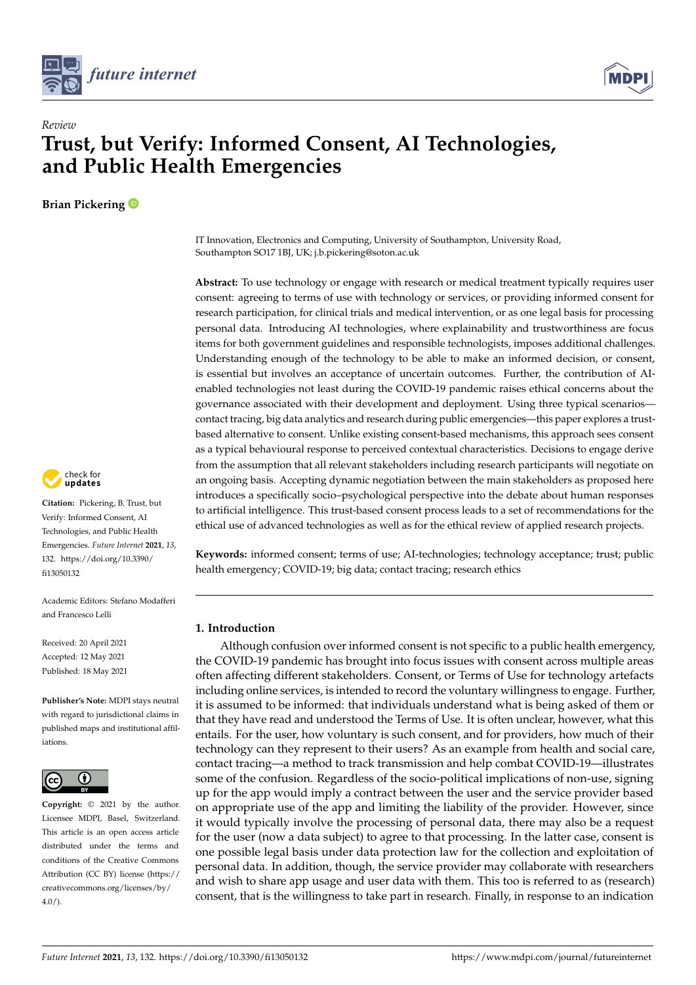



# **Trust, but Verify: Informed Consent, AI Technologies, and Public Health Emergencies**

**Brian Pickering**

*Review*



**Citation:** Pickering, B. Trust, but Verify: Informed Consent, AI Technologies, and Public Health Emergencies. *Future Internet* **2021**, *13*, 132. [https://doi.org/10.3390/](https://doi.org/10.3390/fi13050132) [fi13050132](https://doi.org/10.3390/fi13050132)

Academic Editors: Stefano Modafferi and Francesco Lelli

Received: 20 April 2021 Accepted: 12 May 2021 Published: 18 May 2021

**Publisher's Note:** MDPI stays neutral with regard to jurisdictional claims in published maps and institutional affiliations.



**Copyright:** © 2021 by the author. Licensee MDPI, Basel, Switzerland. This article is an open access article distributed under the terms and conditions of the Creative Commons Attribution (CC BY) license (https:/[/](https://creativecommons.org/licenses/by/4.0/) [creativecommons.org/licenses/by/](https://creativecommons.org/licenses/by/4.0/)  $4.0/$ ).

IT Innovation, Electronics and Computing, University of Southampton, University Road, Southampton SO17 1BJ, UK; j.b.pickering@soton.ac.uk

**Abstract:** To use technology or engage with research or medical treatment typically requires user consent: agreeing to terms of use with technology or services, or providing informed consent for research participation, for clinical trials and medical intervention, or as one legal basis for processing personal data. Introducing AI technologies, where explainability and trustworthiness are focus items for both government guidelines and responsible technologists, imposes additional challenges. Understanding enough of the technology to be able to make an informed decision, or consent, is essential but involves an acceptance of uncertain outcomes. Further, the contribution of AIenabled technologies not least during the COVID-19 pandemic raises ethical concerns about the governance associated with their development and deployment. Using three typical scenarios contact tracing, big data analytics and research during public emergencies—this paper explores a trustbased alternative to consent. Unlike existing consent-based mechanisms, this approach sees consent as a typical behavioural response to perceived contextual characteristics. Decisions to engage derive from the assumption that all relevant stakeholders including research participants will negotiate on an ongoing basis. Accepting dynamic negotiation between the main stakeholders as proposed here introduces a specifically socio–psychological perspective into the debate about human responses to artificial intelligence. This trust-based consent process leads to a set of recommendations for the ethical use of advanced technologies as well as for the ethical review of applied research projects.

**Keywords:** informed consent; terms of use; AI-technologies; technology acceptance; trust; public health emergency; COVID-19; big data; contact tracing; research ethics

### **1. Introduction**

Although confusion over informed consent is not specific to a public health emergency, the COVID-19 pandemic has brought into focus issues with consent across multiple areas often affecting different stakeholders. Consent, or Terms of Use for technology artefacts including online services, is intended to record the voluntary willingness to engage. Further, it is assumed to be informed: that individuals understand what is being asked of them or that they have read and understood the Terms of Use. It is often unclear, however, what this entails. For the user, how voluntary is such consent, and for providers, how much of their technology can they represent to their users? As an example from health and social care, contact tracing—a method to track transmission and help combat COVID-19—illustrates some of the confusion. Regardless of the socio-political implications of non-use, signing up for the app would imply a contract between the user and the service provider based on appropriate use of the app and limiting the liability of the provider. However, since it would typically involve the processing of personal data, there may also be a request for the user (now a data subject) to agree to that processing. In the latter case, consent is one possible legal basis under data protection law for the collection and exploitation of personal data. In addition, though, the service provider may collaborate with researchers and wish to share app usage and user data with them. This too is referred to as (research) consent, that is the willingness to take part in research. Finally, in response to an indication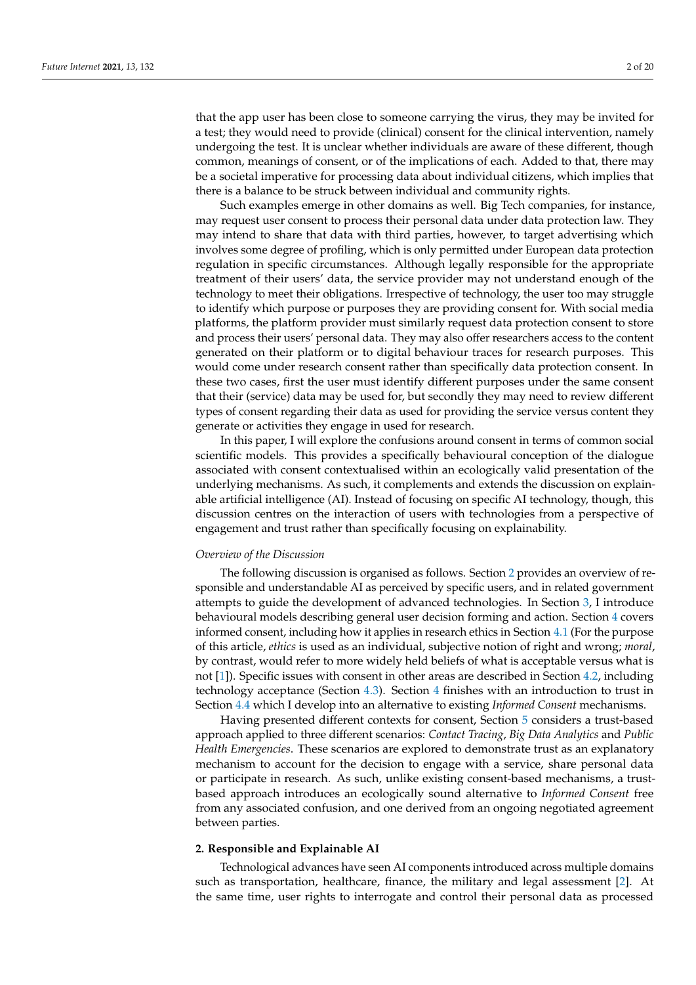that the app user has been close to someone carrying the virus, they may be invited for a test; they would need to provide (clinical) consent for the clinical intervention, namely undergoing the test. It is unclear whether individuals are aware of these different, though common, meanings of consent, or of the implications of each. Added to that, there may be a societal imperative for processing data about individual citizens, which implies that there is a balance to be struck between individual and community rights.

Such examples emerge in other domains as well. Big Tech companies, for instance, may request user consent to process their personal data under data protection law. They may intend to share that data with third parties, however, to target advertising which involves some degree of profiling, which is only permitted under European data protection regulation in specific circumstances. Although legally responsible for the appropriate treatment of their users' data, the service provider may not understand enough of the technology to meet their obligations. Irrespective of technology, the user too may struggle to identify which purpose or purposes they are providing consent for. With social media platforms, the platform provider must similarly request data protection consent to store and process their users' personal data. They may also offer researchers access to the content generated on their platform or to digital behaviour traces for research purposes. This would come under research consent rather than specifically data protection consent. In these two cases, first the user must identify different purposes under the same consent that their (service) data may be used for, but secondly they may need to review different types of consent regarding their data as used for providing the service versus content they generate or activities they engage in used for research.

In this paper, I will explore the confusions around consent in terms of common social scientific models. This provides a specifically behavioural conception of the dialogue associated with consent contextualised within an ecologically valid presentation of the underlying mechanisms. As such, it complements and extends the discussion on explainable artificial intelligence (AI). Instead of focusing on specific AI technology, though, this discussion centres on the interaction of users with technologies from a perspective of engagement and trust rather than specifically focusing on explainability.

#### *Overview of the Discussion*

The following discussion is organised as follows. Section [2](#page-1-0) provides an overview of responsible and understandable AI as perceived by specific users, and in related government attempts to guide the development of advanced technologies. In Section [3,](#page-3-0) I introduce behavioural models describing general user decision forming and action. Section [4](#page-4-0) covers informed consent, including how it applies in research ethics in Section [4.1](#page-6-0) (For the purpose of this article, *ethics* is used as an individual, subjective notion of right and wrong; *moral*, by contrast, would refer to more widely held beliefs of what is acceptable versus what is not [\[1\]](#page-16-0)). Specific issues with consent in other areas are described in Section [4.2,](#page-7-0) including technology acceptance (Section [4.3\)](#page-8-0). Section [4](#page-4-0) finishes with an introduction to trust in Section [4.4](#page-9-0) which I develop into an alternative to existing *Informed Consent* mechanisms.

Having presented different contexts for consent, Section [5](#page-10-0) considers a trust-based approach applied to three different scenarios: *Contact Tracing*, *Big Data Analytics* and *Public Health Emergencies*. These scenarios are explored to demonstrate trust as an explanatory mechanism to account for the decision to engage with a service, share personal data or participate in research. As such, unlike existing consent-based mechanisms, a trustbased approach introduces an ecologically sound alternative to *Informed Consent* free from any associated confusion, and one derived from an ongoing negotiated agreement between parties.

#### <span id="page-1-0"></span>**2. Responsible and Explainable AI**

Technological advances have seen AI components introduced across multiple domains such as transportation, healthcare, finance, the military and legal assessment [\[2\]](#page-16-1). At the same time, user rights to interrogate and control their personal data as processed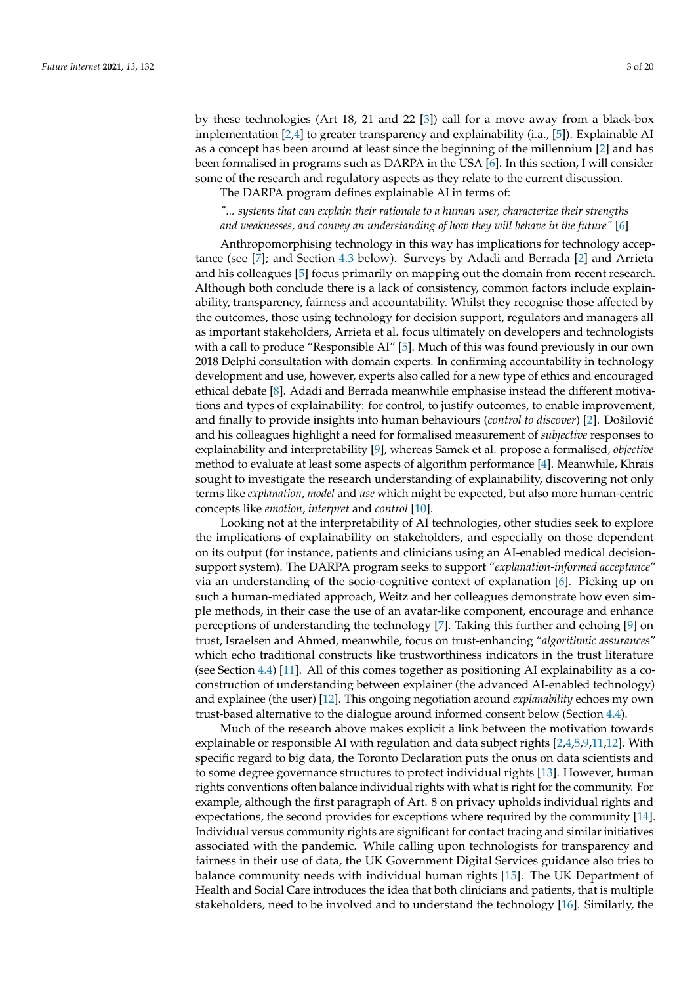by these technologies (Art 18, 21 and 22 [\[3\]](#page-16-2)) call for a move away from a black-box implementation [\[2,](#page-16-1)[4\]](#page-16-3) to greater transparency and explainability (i.a., [\[5\]](#page-16-4)). Explainable AI as a concept has been around at least since the beginning of the millennium [\[2\]](#page-16-1) and has been formalised in programs such as DARPA in the USA [\[6\]](#page-16-5). In this section, I will consider some of the research and regulatory aspects as they relate to the current discussion.

The DARPA program defines explainable AI in terms of:

## *"... systems that can explain their rationale to a human user, characterize their strengths and weaknesses, and convey an understanding of how they will behave in the future"* [\[6\]](#page-16-5)

Anthropomorphising technology in this way has implications for technology acceptance (see [\[7\]](#page-16-6); and Section [4.3](#page-8-0) below). Surveys by Adadi and Berrada [\[2\]](#page-16-1) and Arrieta and his colleagues [\[5\]](#page-16-4) focus primarily on mapping out the domain from recent research. Although both conclude there is a lack of consistency, common factors include explainability, transparency, fairness and accountability. Whilst they recognise those affected by the outcomes, those using technology for decision support, regulators and managers all as important stakeholders, Arrieta et al. focus ultimately on developers and technologists with a call to produce "Responsible AI" [\[5\]](#page-16-4). Much of this was found previously in our own 2018 Delphi consultation with domain experts. In confirming accountability in technology development and use, however, experts also called for a new type of ethics and encouraged ethical debate [\[8\]](#page-16-7). Adadi and Berrada meanwhile emphasise instead the different motivations and types of explainability: for control, to justify outcomes, to enable improvement, and finally to provide insights into human behaviours (*control to discover*) [\[2\]](#page-16-1). Došilović and his colleagues highlight a need for formalised measurement of *subjective* responses to explainability and interpretability [\[9\]](#page-16-8), whereas Samek et al. propose a formalised, *objective* method to evaluate at least some aspects of algorithm performance [\[4\]](#page-16-3). Meanwhile, Khrais sought to investigate the research understanding of explainability, discovering not only terms like *explanation*, *model* and *use* which might be expected, but also more human-centric concepts like *emotion*, *interpret* and *control* [\[10\]](#page-16-9).

Looking not at the interpretability of AI technologies, other studies seek to explore the implications of explainability on stakeholders, and especially on those dependent on its output (for instance, patients and clinicians using an AI-enabled medical decisionsupport system). The DARPA program seeks to support "*explanation-informed acceptance*" via an understanding of the socio-cognitive context of explanation [\[6\]](#page-16-5). Picking up on such a human-mediated approach, Weitz and her colleagues demonstrate how even simple methods, in their case the use of an avatar-like component, encourage and enhance perceptions of understanding the technology [\[7\]](#page-16-6). Taking this further and echoing [\[9\]](#page-16-8) on trust, Israelsen and Ahmed, meanwhile, focus on trust-enhancing "*algorithmic assurances*" which echo traditional constructs like trustworthiness indicators in the trust literature (see Section [4.4\)](#page-9-0) [\[11\]](#page-16-10). All of this comes together as positioning AI explainability as a coconstruction of understanding between explainer (the advanced AI-enabled technology) and explainee (the user) [\[12\]](#page-16-11). This ongoing negotiation around *explanability* echoes my own trust-based alternative to the dialogue around informed consent below (Section [4.4\)](#page-9-0).

Much of the research above makes explicit a link between the motivation towards explainable or responsible AI with regulation and data subject rights [\[2](#page-16-1)[,4](#page-16-3)[,5](#page-16-4)[,9](#page-16-8)[,11](#page-16-10)[,12\]](#page-16-11). With specific regard to big data, the Toronto Declaration puts the onus on data scientists and to some degree governance structures to protect individual rights [\[13\]](#page-16-12). However, human rights conventions often balance individual rights with what is right for the community. For example, although the first paragraph of Art. 8 on privacy upholds individual rights and expectations, the second provides for exceptions where required by the community [\[14\]](#page-16-13). Individual versus community rights are significant for contact tracing and similar initiatives associated with the pandemic. While calling upon technologists for transparency and fairness in their use of data, the UK Government Digital Services guidance also tries to balance community needs with individual human rights [\[15\]](#page-16-14). The UK Department of Health and Social Care introduces the idea that both clinicians and patients, that is multiple stakeholders, need to be involved and to understand the technology [\[16\]](#page-16-15). Similarly, the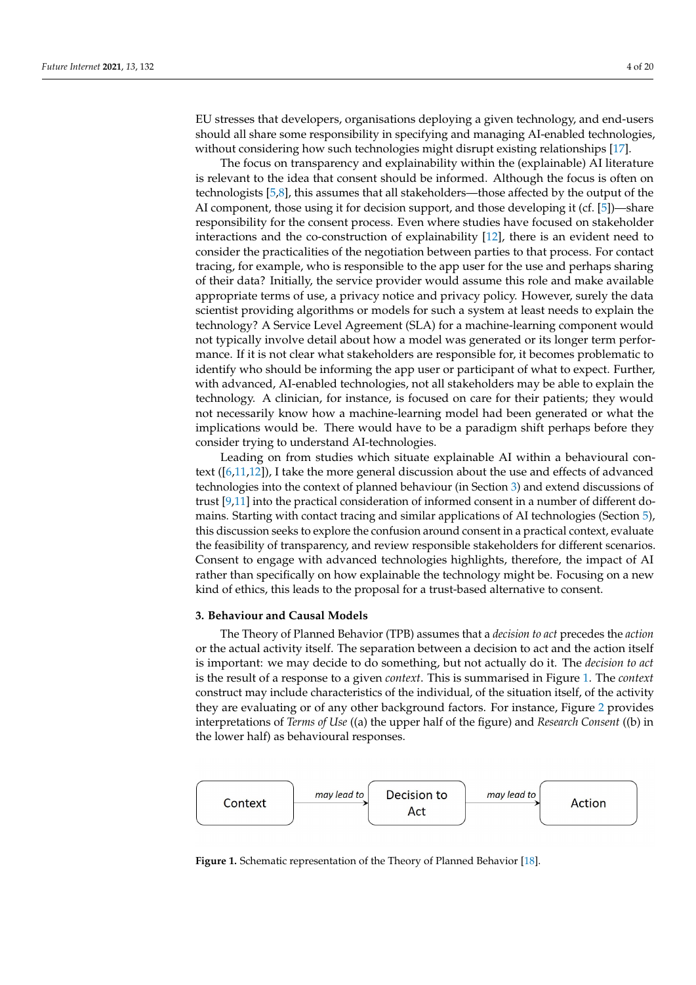EU stresses that developers, organisations deploying a given technology, and end-users should all share some responsibility in specifying and managing AI-enabled technologies, without considering how such technologies might disrupt existing relationships [\[17\]](#page-16-16).

The focus on transparency and explainability within the (explainable) AI literature is relevant to the idea that consent should be informed. Although the focus is often on technologists [\[5](#page-16-4)[,8\]](#page-16-7), this assumes that all stakeholders—those affected by the output of the AI component, those using it for decision support, and those developing it (cf. [\[5\]](#page-16-4))—share responsibility for the consent process. Even where studies have focused on stakeholder interactions and the co-construction of explainability [\[12\]](#page-16-11), there is an evident need to consider the practicalities of the negotiation between parties to that process. For contact tracing, for example, who is responsible to the app user for the use and perhaps sharing of their data? Initially, the service provider would assume this role and make available appropriate terms of use, a privacy notice and privacy policy. However, surely the data scientist providing algorithms or models for such a system at least needs to explain the technology? A Service Level Agreement (SLA) for a machine-learning component would not typically involve detail about how a model was generated or its longer term performance. If it is not clear what stakeholders are responsible for, it becomes problematic to identify who should be informing the app user or participant of what to expect. Further, with advanced, AI-enabled technologies, not all stakeholders may be able to explain the technology. A clinician, for instance, is focused on care for their patients; they would not necessarily know how a machine-learning model had been generated or what the implications would be. There would have to be a paradigm shift perhaps before they consider trying to understand AI-technologies.

Leading on from studies which situate explainable AI within a behavioural context ([\[6](#page-16-5)[,11](#page-16-10)[,12\]](#page-16-11)), I take the more general discussion about the use and effects of advanced technologies into the context of planned behaviour (in Section [3\)](#page-3-0) and extend discussions of trust [\[9,](#page-16-8)[11\]](#page-16-10) into the practical consideration of informed consent in a number of different domains. Starting with contact tracing and similar applications of AI technologies (Section [5\)](#page-10-0), this discussion seeks to explore the confusion around consent in a practical context, evaluate the feasibility of transparency, and review responsible stakeholders for different scenarios. Consent to engage with advanced technologies highlights, therefore, the impact of AI rather than specifically on how explainable the technology might be. Focusing on a new kind of ethics, this leads to the proposal for a trust-based alternative to consent.

#### <span id="page-3-0"></span>**3. Behaviour and Causal Models**

The Theory of Planned Behavior (TPB) assumes that a *decision to act* precedes the *action* or the actual activity itself. The separation between a decision to act and the action itself is important: we may decide to do something, but not actually do it. The *decision to act* is the result of a response to a given *context*. This is summarised in Figure [1.](#page-3-1) The *context* construct may include characteristics of the individual, of the situation itself, of the activity they are evaluating or of any other background factors. For instance, Figure [2](#page-4-1) provides interpretations of *Terms of Use* ((a) the upper half of the figure) and *Research Consent* ((b) in the lower half) as behavioural responses.

<span id="page-3-1"></span>

**Figure 1.** Schematic representation of the Theory of Planned Behavior [\[18\]](#page-16-17).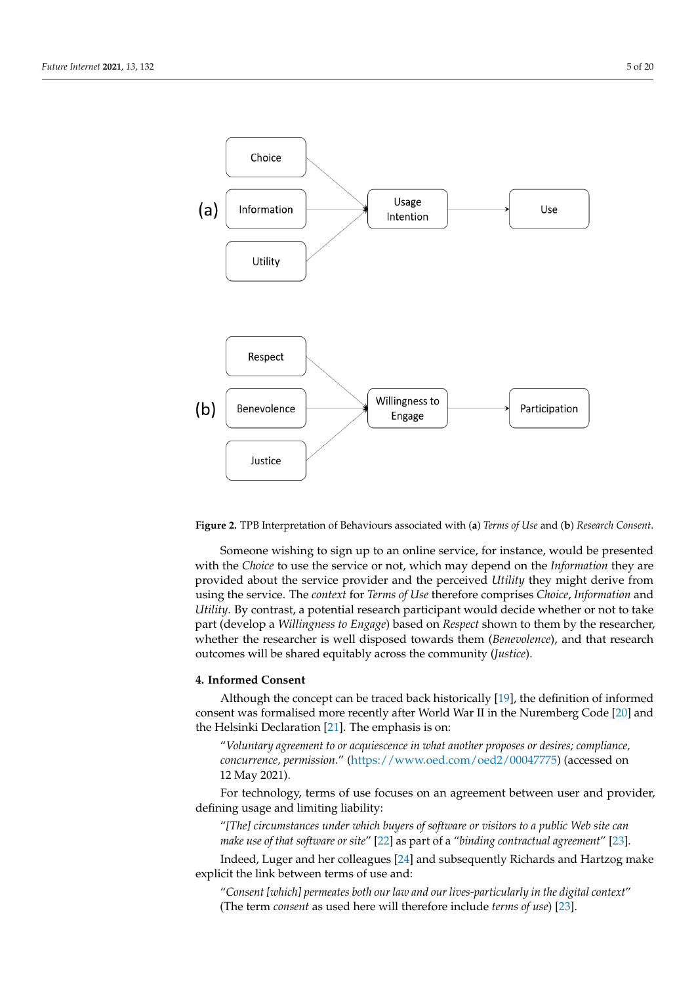<span id="page-4-1"></span>

**Figure 2.** TPB Interpretation of Behaviours associated with (**a**) *Terms of Use* and (**b**) *Research Consent*.

Someone wishing to sign up to an online service, for instance, would be presented with the *Choice* to use the service or not, which may depend on the *Information* they are provided about the service provider and the perceived *Utility* they might derive from using the service. The *context* for *Terms of Use* therefore comprises *Choice*, *Information* and *Utility*. By contrast, a potential research participant would decide whether or not to take part (develop a *Willingness to Engage*) based on *Respect* shown to them by the researcher, whether the researcher is well disposed towards them (*Benevolence*), and that research outcomes will be shared equitably across the community (*Justice*).

#### <span id="page-4-0"></span>**4. Informed Consent**

Although the concept can be traced back historically [\[19\]](#page-16-18), the definition of informed consent was formalised more recently after World War II in the Nuremberg Code [\[20\]](#page-16-19) and the Helsinki Declaration [\[21\]](#page-16-20). The emphasis is on:

"*Voluntary agreement to or acquiescence in what another proposes or desires; compliance, concurrence, permission.*" [\(https://www.oed.com/oed2/00047775\)](https://www.oed.com/oed2/00047775) (accessed on 12 May 2021).

For technology, terms of use focuses on an agreement between user and provider, defining usage and limiting liability:

"*[The] circumstances under which buyers of software or visitors to a public Web site can make use of that software or site*" [\[22\]](#page-16-21) as part of a "*binding contractual agreement*" [\[23\]](#page-16-22).

Indeed, Luger and her colleagues [\[24\]](#page-16-23) and subsequently Richards and Hartzog make explicit the link between terms of use and:

"*Consent [which] permeates both our law and our lives-particularly in the digital context*" (The term *consent* as used here will therefore include *terms of use*) [\[23\]](#page-16-22).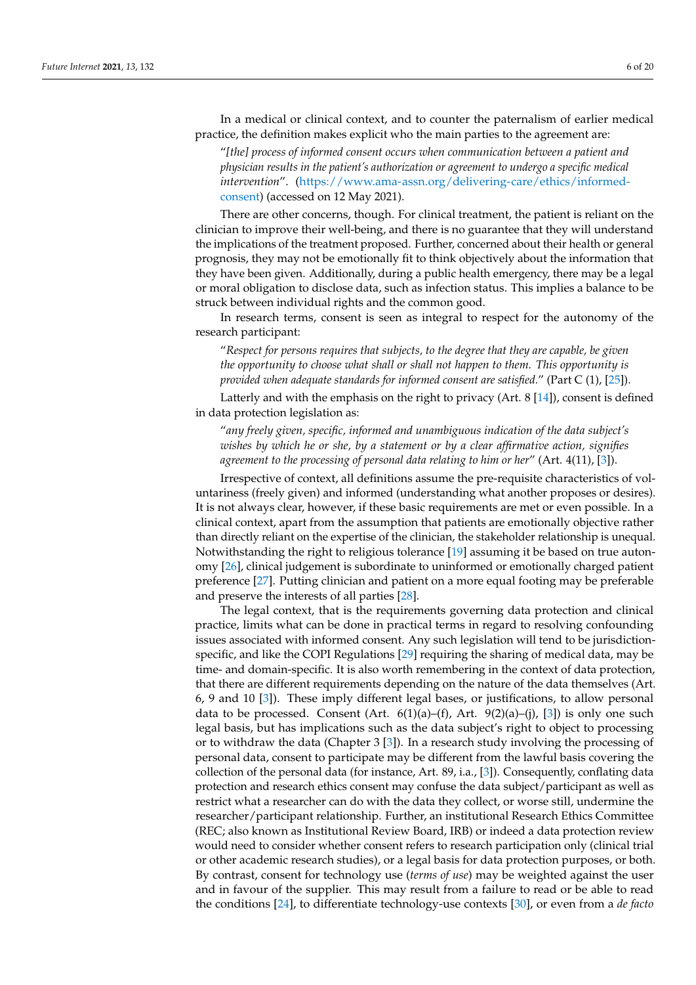In a medical or clinical context, and to counter the paternalism of earlier medical practice, the definition makes explicit who the main parties to the agreement are:

"*[the] process of informed consent occurs when communication between a patient and physician results in the patient's authorization or agreement to undergo a specific medical intervention*". [\(https://www.ama-assn.org/delivering-care/ethics/informed](https://www.ama-assn.org/delivering-care/ethics/informed-consent)[consent\)](https://www.ama-assn.org/delivering-care/ethics/informed-consent) (accessed on 12 May 2021).

There are other concerns, though. For clinical treatment, the patient is reliant on the clinician to improve their well-being, and there is no guarantee that they will understand the implications of the treatment proposed. Further, concerned about their health or general prognosis, they may not be emotionally fit to think objectively about the information that they have been given. Additionally, during a public health emergency, there may be a legal or moral obligation to disclose data, such as infection status. This implies a balance to be struck between individual rights and the common good.

In research terms, consent is seen as integral to respect for the autonomy of the research participant:

"*Respect for persons requires that subjects, to the degree that they are capable, be given the opportunity to choose what shall or shall not happen to them. This opportunity is provided when adequate standards for informed consent are satisfied.*" (Part C (1), [\[25\]](#page-16-24)).

Latterly and with the emphasis on the right to privacy (Art. 8 [\[14\]](#page-16-13)), consent is defined in data protection legislation as:

"*any freely given, specific, informed and unambiguous indication of the data subject's wishes by which he or she, by a statement or by a clear affirmative action, signifies agreement to the processing of personal data relating to him or her*" (Art. 4(11), [\[3\]](#page-16-2)).

Irrespective of context, all definitions assume the pre-requisite characteristics of voluntariness (freely given) and informed (understanding what another proposes or desires). It is not always clear, however, if these basic requirements are met or even possible. In a clinical context, apart from the assumption that patients are emotionally objective rather than directly reliant on the expertise of the clinician, the stakeholder relationship is unequal. Notwithstanding the right to religious tolerance [\[19\]](#page-16-18) assuming it be based on true autonomy [\[26\]](#page-16-25), clinical judgement is subordinate to uninformed or emotionally charged patient preference [\[27\]](#page-16-26). Putting clinician and patient on a more equal footing may be preferable and preserve the interests of all parties [\[28\]](#page-16-27).

The legal context, that is the requirements governing data protection and clinical practice, limits what can be done in practical terms in regard to resolving confounding issues associated with informed consent. Any such legislation will tend to be jurisdictionspecific, and like the COPI Regulations [\[29\]](#page-16-28) requiring the sharing of medical data, may be time- and domain-specific. It is also worth remembering in the context of data protection, that there are different requirements depending on the nature of the data themselves (Art. 6, 9 and 10 [\[3\]](#page-16-2)). These imply different legal bases, or justifications, to allow personal data to be processed. Consent (Art.  $6(1)(a)$ –(f), Art.  $9(2)(a)$ –(j), [\[3\]](#page-16-2)) is only one such legal basis, but has implications such as the data subject's right to object to processing or to withdraw the data (Chapter 3 [\[3\]](#page-16-2)). In a research study involving the processing of personal data, consent to participate may be different from the lawful basis covering the collection of the personal data (for instance, Art. 89, i.a., [\[3\]](#page-16-2)). Consequently, conflating data protection and research ethics consent may confuse the data subject/participant as well as restrict what a researcher can do with the data they collect, or worse still, undermine the researcher/participant relationship. Further, an institutional Research Ethics Committee (REC; also known as Institutional Review Board, IRB) or indeed a data protection review would need to consider whether consent refers to research participation only (clinical trial or other academic research studies), or a legal basis for data protection purposes, or both. By contrast, consent for technology use (*terms of use*) may be weighted against the user and in favour of the supplier. This may result from a failure to read or be able to read the conditions [\[24\]](#page-16-23), to differentiate technology-use contexts [\[30\]](#page-16-29), or even from a *de facto*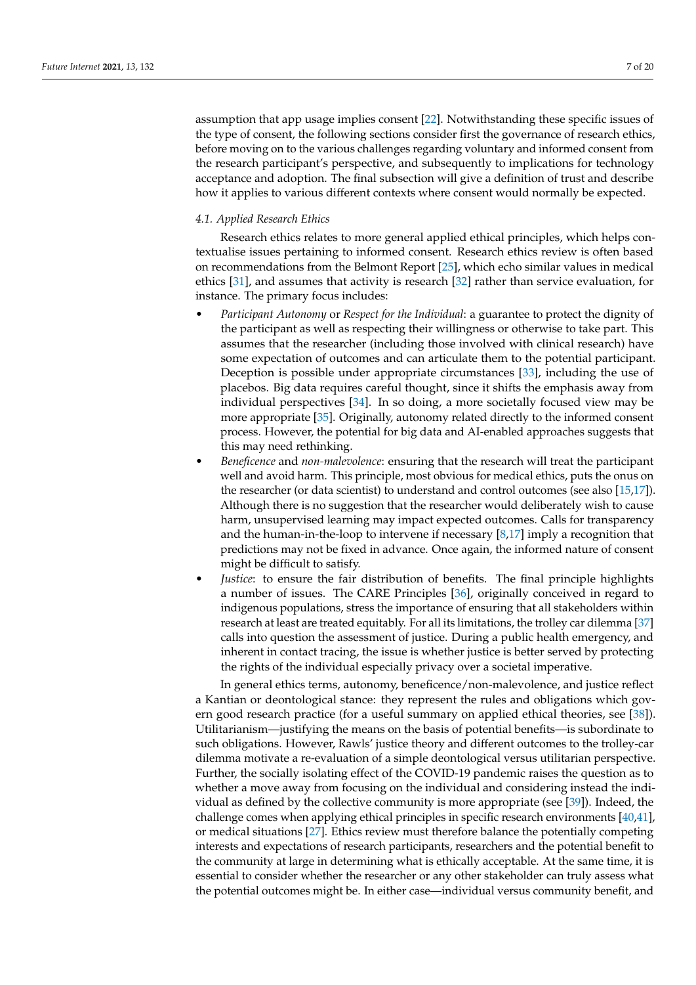assumption that app usage implies consent [\[22\]](#page-16-21). Notwithstanding these specific issues of the type of consent, the following sections consider first the governance of research ethics, before moving on to the various challenges regarding voluntary and informed consent from the research participant's perspective, and subsequently to implications for technology acceptance and adoption. The final subsection will give a definition of trust and describe how it applies to various different contexts where consent would normally be expected.

#### <span id="page-6-0"></span>*4.1. Applied Research Ethics*

Research ethics relates to more general applied ethical principles, which helps contextualise issues pertaining to informed consent. Research ethics review is often based on recommendations from the Belmont Report [\[25\]](#page-16-24), which echo similar values in medical ethics [\[31\]](#page-16-30), and assumes that activity is research [\[32\]](#page-17-0) rather than service evaluation, for instance. The primary focus includes:

- *Participant Autonomy* or *Respect for the Individual*: a guarantee to protect the dignity of the participant as well as respecting their willingness or otherwise to take part. This assumes that the researcher (including those involved with clinical research) have some expectation of outcomes and can articulate them to the potential participant. Deception is possible under appropriate circumstances [\[33\]](#page-17-1), including the use of placebos. Big data requires careful thought, since it shifts the emphasis away from individual perspectives [\[34\]](#page-17-2). In so doing, a more societally focused view may be more appropriate [\[35\]](#page-17-3). Originally, autonomy related directly to the informed consent process. However, the potential for big data and AI-enabled approaches suggests that this may need rethinking.
- *Beneficence* and *non-malevolence*: ensuring that the research will treat the participant well and avoid harm. This principle, most obvious for medical ethics, puts the onus on the researcher (or data scientist) to understand and control outcomes (see also [\[15,](#page-16-14)[17\]](#page-16-16)). Although there is no suggestion that the researcher would deliberately wish to cause harm, unsupervised learning may impact expected outcomes. Calls for transparency and the human-in-the-loop to intervene if necessary [\[8](#page-16-7)[,17\]](#page-16-16) imply a recognition that predictions may not be fixed in advance. Once again, the informed nature of consent might be difficult to satisfy.
- *Justice*: to ensure the fair distribution of benefits. The final principle highlights a number of issues. The CARE Principles [\[36\]](#page-17-4), originally conceived in regard to indigenous populations, stress the importance of ensuring that all stakeholders within research at least are treated equitably. For all its limitations, the trolley car dilemma [\[37\]](#page-17-5) calls into question the assessment of justice. During a public health emergency, and inherent in contact tracing, the issue is whether justice is better served by protecting the rights of the individual especially privacy over a societal imperative.

In general ethics terms, autonomy, beneficence/non-malevolence, and justice reflect a Kantian or deontological stance: they represent the rules and obligations which govern good research practice (for a useful summary on applied ethical theories, see [\[38\]](#page-17-6)). Utilitarianism—justifying the means on the basis of potential benefits—is subordinate to such obligations. However, Rawls' justice theory and different outcomes to the trolley-car dilemma motivate a re-evaluation of a simple deontological versus utilitarian perspective. Further, the socially isolating effect of the COVID-19 pandemic raises the question as to whether a move away from focusing on the individual and considering instead the individual as defined by the collective community is more appropriate (see [\[39\]](#page-17-7)). Indeed, the challenge comes when applying ethical principles in specific research environments [\[40](#page-17-8)[,41\]](#page-17-9), or medical situations [\[27\]](#page-16-26). Ethics review must therefore balance the potentially competing interests and expectations of research participants, researchers and the potential benefit to the community at large in determining what is ethically acceptable. At the same time, it is essential to consider whether the researcher or any other stakeholder can truly assess what the potential outcomes might be. In either case—individual versus community benefit, and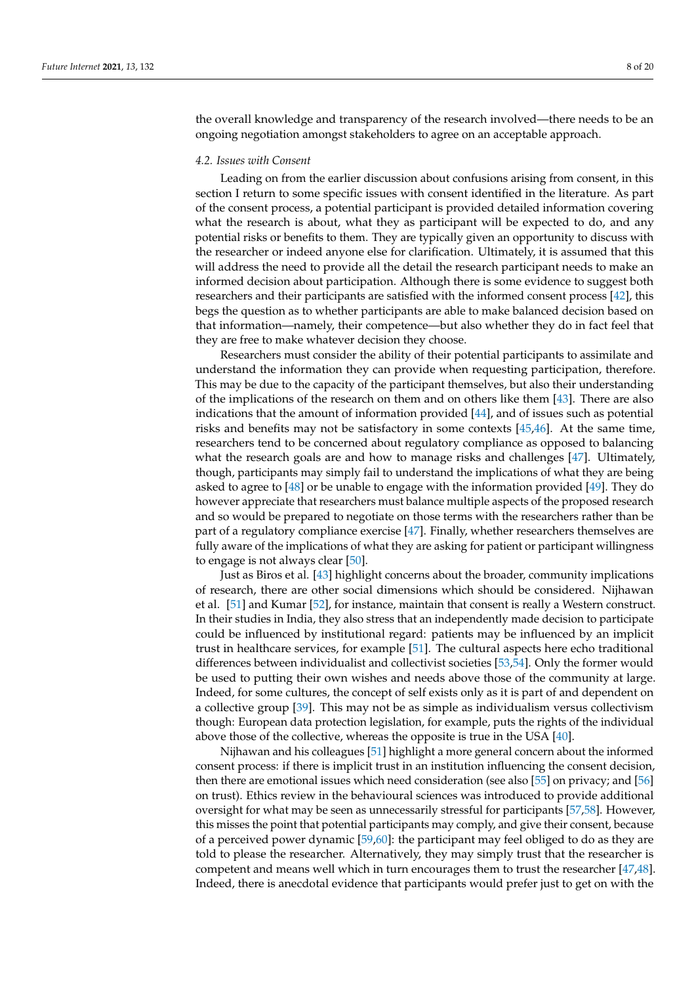the overall knowledge and transparency of the research involved—there needs to be an ongoing negotiation amongst stakeholders to agree on an acceptable approach.

#### <span id="page-7-0"></span>*4.2. Issues with Consent*

Leading on from the earlier discussion about confusions arising from consent, in this section I return to some specific issues with consent identified in the literature. As part of the consent process, a potential participant is provided detailed information covering what the research is about, what they as participant will be expected to do, and any potential risks or benefits to them. They are typically given an opportunity to discuss with the researcher or indeed anyone else for clarification. Ultimately, it is assumed that this will address the need to provide all the detail the research participant needs to make an informed decision about participation. Although there is some evidence to suggest both researchers and their participants are satisfied with the informed consent process [\[42\]](#page-17-10), this begs the question as to whether participants are able to make balanced decision based on that information—namely, their competence—but also whether they do in fact feel that they are free to make whatever decision they choose.

Researchers must consider the ability of their potential participants to assimilate and understand the information they can provide when requesting participation, therefore. This may be due to the capacity of the participant themselves, but also their understanding of the implications of the research on them and on others like them [\[43\]](#page-17-11). There are also indications that the amount of information provided [\[44\]](#page-17-12), and of issues such as potential risks and benefits may not be satisfactory in some contexts [\[45,](#page-17-13)[46\]](#page-17-14). At the same time, researchers tend to be concerned about regulatory compliance as opposed to balancing what the research goals are and how to manage risks and challenges [\[47\]](#page-17-15). Ultimately, though, participants may simply fail to understand the implications of what they are being asked to agree to [\[48\]](#page-17-16) or be unable to engage with the information provided [\[49\]](#page-17-17). They do however appreciate that researchers must balance multiple aspects of the proposed research and so would be prepared to negotiate on those terms with the researchers rather than be part of a regulatory compliance exercise [\[47\]](#page-17-15). Finally, whether researchers themselves are fully aware of the implications of what they are asking for patient or participant willingness to engage is not always clear [\[50\]](#page-17-18).

Just as Biros et al. [\[43\]](#page-17-11) highlight concerns about the broader, community implications of research, there are other social dimensions which should be considered. Nijhawan et al. [\[51\]](#page-17-19) and Kumar [\[52\]](#page-17-20), for instance, maintain that consent is really a Western construct. In their studies in India, they also stress that an independently made decision to participate could be influenced by institutional regard: patients may be influenced by an implicit trust in healthcare services, for example [\[51\]](#page-17-19). The cultural aspects here echo traditional differences between individualist and collectivist societies [\[53](#page-17-21)[,54\]](#page-17-22). Only the former would be used to putting their own wishes and needs above those of the community at large. Indeed, for some cultures, the concept of self exists only as it is part of and dependent on a collective group [\[39\]](#page-17-7). This may not be as simple as individualism versus collectivism though: European data protection legislation, for example, puts the rights of the individual above those of the collective, whereas the opposite is true in the USA [\[40\]](#page-17-8).

Nijhawan and his colleagues [\[51\]](#page-17-19) highlight a more general concern about the informed consent process: if there is implicit trust in an institution influencing the consent decision, then there are emotional issues which need consideration (see also [\[55\]](#page-17-23) on privacy; and [\[56\]](#page-17-24) on trust). Ethics review in the behavioural sciences was introduced to provide additional oversight for what may be seen as unnecessarily stressful for participants [\[57](#page-17-25)[,58\]](#page-17-26). However, this misses the point that potential participants may comply, and give their consent, because of a perceived power dynamic [\[59,](#page-17-27)[60\]](#page-17-28): the participant may feel obliged to do as they are told to please the researcher. Alternatively, they may simply trust that the researcher is competent and means well which in turn encourages them to trust the researcher [\[47,](#page-17-15)[48\]](#page-17-16). Indeed, there is anecdotal evidence that participants would prefer just to get on with the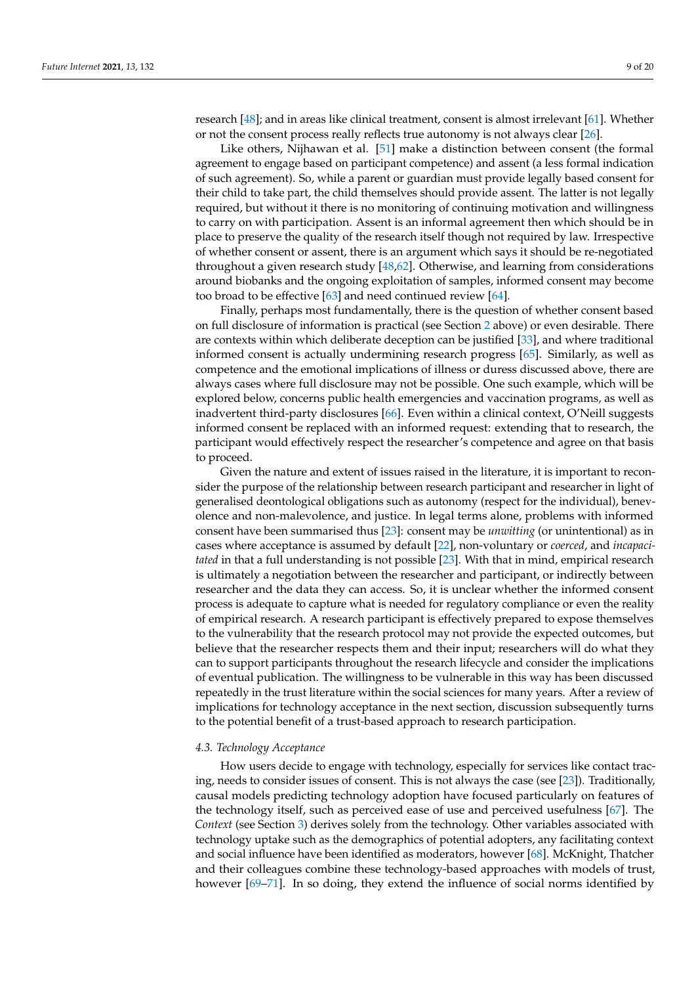research [\[48\]](#page-17-16); and in areas like clinical treatment, consent is almost irrelevant [\[61\]](#page-17-29). Whether or not the consent process really reflects true autonomy is not always clear [\[26\]](#page-16-25).

Like others, Nijhawan et al. [\[51\]](#page-17-19) make a distinction between consent (the formal agreement to engage based on participant competence) and assent (a less formal indication of such agreement). So, while a parent or guardian must provide legally based consent for their child to take part, the child themselves should provide assent. The latter is not legally required, but without it there is no monitoring of continuing motivation and willingness to carry on with participation. Assent is an informal agreement then which should be in place to preserve the quality of the research itself though not required by law. Irrespective of whether consent or assent, there is an argument which says it should be re-negotiated throughout a given research study [\[48,](#page-17-16)[62\]](#page-17-30). Otherwise, and learning from considerations around biobanks and the ongoing exploitation of samples, informed consent may become too broad to be effective [\[63\]](#page-17-31) and need continued review [\[64\]](#page-17-32).

Finally, perhaps most fundamentally, there is the question of whether consent based on full disclosure of information is practical (see Section [2](#page-1-0) above) or even desirable. There are contexts within which deliberate deception can be justified [\[33\]](#page-17-1), and where traditional informed consent is actually undermining research progress [\[65\]](#page-17-33). Similarly, as well as competence and the emotional implications of illness or duress discussed above, there are always cases where full disclosure may not be possible. One such example, which will be explored below, concerns public health emergencies and vaccination programs, as well as inadvertent third-party disclosures [\[66\]](#page-17-34). Even within a clinical context, O'Neill suggests informed consent be replaced with an informed request: extending that to research, the participant would effectively respect the researcher's competence and agree on that basis to proceed.

Given the nature and extent of issues raised in the literature, it is important to reconsider the purpose of the relationship between research participant and researcher in light of generalised deontological obligations such as autonomy (respect for the individual), benevolence and non-malevolence, and justice. In legal terms alone, problems with informed consent have been summarised thus [\[23\]](#page-16-22): consent may be *unwitting* (or unintentional) as in cases where acceptance is assumed by default [\[22\]](#page-16-21), non-voluntary or *coerced*, and *incapacitated* in that a full understanding is not possible [\[23\]](#page-16-22). With that in mind, empirical research is ultimately a negotiation between the researcher and participant, or indirectly between researcher and the data they can access. So, it is unclear whether the informed consent process is adequate to capture what is needed for regulatory compliance or even the reality of empirical research. A research participant is effectively prepared to expose themselves to the vulnerability that the research protocol may not provide the expected outcomes, but believe that the researcher respects them and their input; researchers will do what they can to support participants throughout the research lifecycle and consider the implications of eventual publication. The willingness to be vulnerable in this way has been discussed repeatedly in the trust literature within the social sciences for many years. After a review of implications for technology acceptance in the next section, discussion subsequently turns to the potential benefit of a trust-based approach to research participation.

#### <span id="page-8-0"></span>*4.3. Technology Acceptance*

How users decide to engage with technology, especially for services like contact tracing, needs to consider issues of consent. This is not always the case (see [\[23\]](#page-16-22)). Traditionally, causal models predicting technology adoption have focused particularly on features of the technology itself, such as perceived ease of use and perceived usefulness [\[67\]](#page-17-35). The *Context* (see Section [3\)](#page-3-0) derives solely from the technology. Other variables associated with technology uptake such as the demographics of potential adopters, any facilitating context and social influence have been identified as moderators, however [\[68\]](#page-17-36). McKnight, Thatcher and their colleagues combine these technology-based approaches with models of trust, however [\[69](#page-18-0)[–71\]](#page-18-1). In so doing, they extend the influence of social norms identified by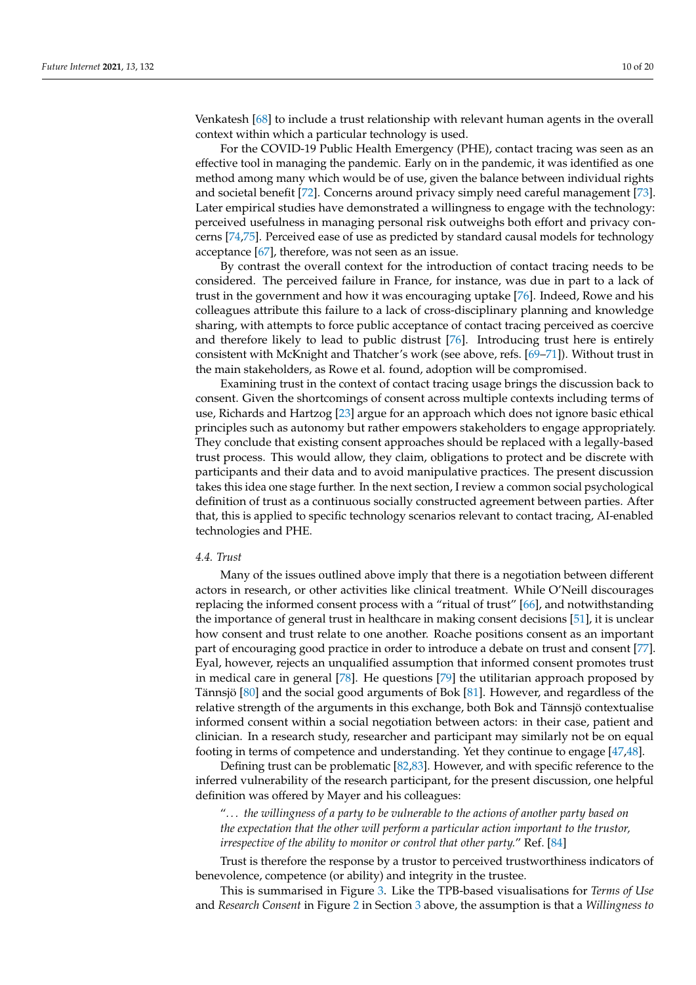Venkatesh [\[68\]](#page-17-36) to include a trust relationship with relevant human agents in the overall context within which a particular technology is used.

For the COVID-19 Public Health Emergency (PHE), contact tracing was seen as an effective tool in managing the pandemic. Early on in the pandemic, it was identified as one method among many which would be of use, given the balance between individual rights and societal benefit [\[72\]](#page-18-2). Concerns around privacy simply need careful management [\[73\]](#page-18-3). Later empirical studies have demonstrated a willingness to engage with the technology: perceived usefulness in managing personal risk outweighs both effort and privacy concerns [\[74](#page-18-4)[,75\]](#page-18-5). Perceived ease of use as predicted by standard causal models for technology acceptance [\[67\]](#page-17-35), therefore, was not seen as an issue.

By contrast the overall context for the introduction of contact tracing needs to be considered. The perceived failure in France, for instance, was due in part to a lack of trust in the government and how it was encouraging uptake [\[76\]](#page-18-6). Indeed, Rowe and his colleagues attribute this failure to a lack of cross-disciplinary planning and knowledge sharing, with attempts to force public acceptance of contact tracing perceived as coercive and therefore likely to lead to public distrust [\[76\]](#page-18-6). Introducing trust here is entirely consistent with McKnight and Thatcher's work (see above, refs. [\[69–](#page-18-0)[71\]](#page-18-1)). Without trust in the main stakeholders, as Rowe et al. found, adoption will be compromised.

Examining trust in the context of contact tracing usage brings the discussion back to consent. Given the shortcomings of consent across multiple contexts including terms of use, Richards and Hartzog [\[23\]](#page-16-22) argue for an approach which does not ignore basic ethical principles such as autonomy but rather empowers stakeholders to engage appropriately. They conclude that existing consent approaches should be replaced with a legally-based trust process. This would allow, they claim, obligations to protect and be discrete with participants and their data and to avoid manipulative practices. The present discussion takes this idea one stage further. In the next section, I review a common social psychological definition of trust as a continuous socially constructed agreement between parties. After that, this is applied to specific technology scenarios relevant to contact tracing, AI-enabled technologies and PHE.

#### <span id="page-9-0"></span>*4.4. Trust*

Many of the issues outlined above imply that there is a negotiation between different actors in research, or other activities like clinical treatment. While O'Neill discourages replacing the informed consent process with a "ritual of trust" [\[66\]](#page-17-34), and notwithstanding the importance of general trust in healthcare in making consent decisions [\[51\]](#page-17-19), it is unclear how consent and trust relate to one another. Roache positions consent as an important part of encouraging good practice in order to introduce a debate on trust and consent [\[77\]](#page-18-7). Eyal, however, rejects an unqualified assumption that informed consent promotes trust in medical care in general [\[78\]](#page-18-8). He questions [\[79\]](#page-18-9) the utilitarian approach proposed by Tännsjö [\[80\]](#page-18-10) and the social good arguments of Bok [\[81\]](#page-18-11). However, and regardless of the relative strength of the arguments in this exchange, both Bok and Tännsjö contextualise informed consent within a social negotiation between actors: in their case, patient and clinician. In a research study, researcher and participant may similarly not be on equal footing in terms of competence and understanding. Yet they continue to engage [\[47,](#page-17-15)[48\]](#page-17-16).

Defining trust can be problematic [\[82](#page-18-12)[,83\]](#page-18-13). However, and with specific reference to the inferred vulnerability of the research participant, for the present discussion, one helpful definition was offered by Mayer and his colleagues:

"*. . . the willingness of a party to be vulnerable to the actions of another party based on the expectation that the other will perform a particular action important to the trustor, irrespective of the ability to monitor or control that other party.*" Ref. [\[84\]](#page-18-14)

Trust is therefore the response by a trustor to perceived trustworthiness indicators of benevolence, competence (or ability) and integrity in the trustee.

This is summarised in Figure [3.](#page-10-1) Like the TPB-based visualisations for *Terms of Use* and *Research Consent* in Figure [2](#page-4-1) in Section [3](#page-3-0) above, the assumption is that a *Willingness to*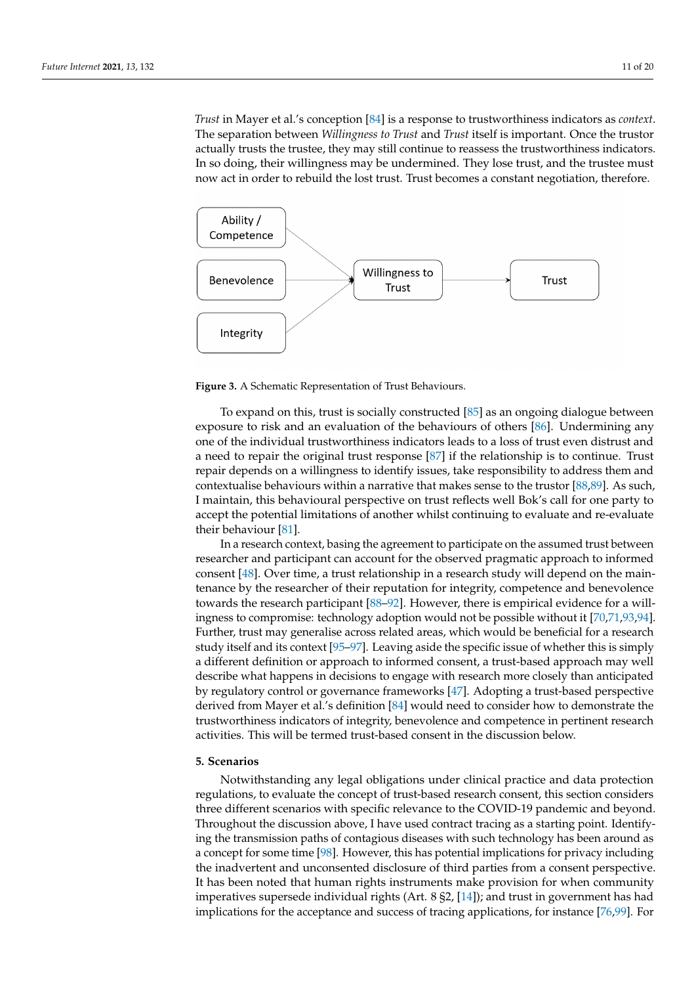*Trust* in Mayer et al.'s conception [\[84\]](#page-18-14) is a response to trustworthiness indicators as *context*. The separation between *Willingness to Trust* and *Trust* itself is important. Once the trustor actually trusts the trustee, they may still continue to reassess the trustworthiness indicators. In so doing, their willingness may be undermined. They lose trust, and the trustee must now act in order to rebuild the lost trust. Trust becomes a constant negotiation, therefore.

<span id="page-10-1"></span>

**Figure 3.** A Schematic Representation of Trust Behaviours.

To expand on this, trust is socially constructed [\[85\]](#page-18-15) as an ongoing dialogue between exposure to risk and an evaluation of the behaviours of others [\[86\]](#page-18-16). Undermining any one of the individual trustworthiness indicators leads to a loss of trust even distrust and a need to repair the original trust response [\[87\]](#page-18-17) if the relationship is to continue. Trust repair depends on a willingness to identify issues, take responsibility to address them and contextualise behaviours within a narrative that makes sense to the trustor [\[88](#page-18-18)[,89\]](#page-18-19). As such, I maintain, this behavioural perspective on trust reflects well Bok's call for one party to accept the potential limitations of another whilst continuing to evaluate and re-evaluate their behaviour [\[81\]](#page-18-11).

In a research context, basing the agreement to participate on the assumed trust between researcher and participant can account for the observed pragmatic approach to informed consent [\[48\]](#page-17-16). Over time, a trust relationship in a research study will depend on the maintenance by the researcher of their reputation for integrity, competence and benevolence towards the research participant [\[88–](#page-18-18)[92\]](#page-18-20). However, there is empirical evidence for a willingness to compromise: technology adoption would not be possible without it [\[70](#page-18-21)[,71](#page-18-1)[,93](#page-18-22)[,94\]](#page-18-23). Further, trust may generalise across related areas, which would be beneficial for a research study itself and its context [\[95–](#page-18-24)[97\]](#page-18-25). Leaving aside the specific issue of whether this is simply a different definition or approach to informed consent, a trust-based approach may well describe what happens in decisions to engage with research more closely than anticipated by regulatory control or governance frameworks [\[47\]](#page-17-15). Adopting a trust-based perspective derived from Mayer et al.'s definition [\[84\]](#page-18-14) would need to consider how to demonstrate the trustworthiness indicators of integrity, benevolence and competence in pertinent research activities. This will be termed trust-based consent in the discussion below.

#### <span id="page-10-0"></span>**5. Scenarios**

Notwithstanding any legal obligations under clinical practice and data protection regulations, to evaluate the concept of trust-based research consent, this section considers three different scenarios with specific relevance to the COVID-19 pandemic and beyond. Throughout the discussion above, I have used contract tracing as a starting point. Identifying the transmission paths of contagious diseases with such technology has been around as a concept for some time [\[98\]](#page-18-26). However, this has potential implications for privacy including the inadvertent and unconsented disclosure of third parties from a consent perspective. It has been noted that human rights instruments make provision for when community imperatives supersede individual rights (Art. 8 §2, [\[14\]](#page-16-13)); and trust in government has had implications for the acceptance and success of tracing applications, for instance [\[76,](#page-18-6)[99\]](#page-18-27). For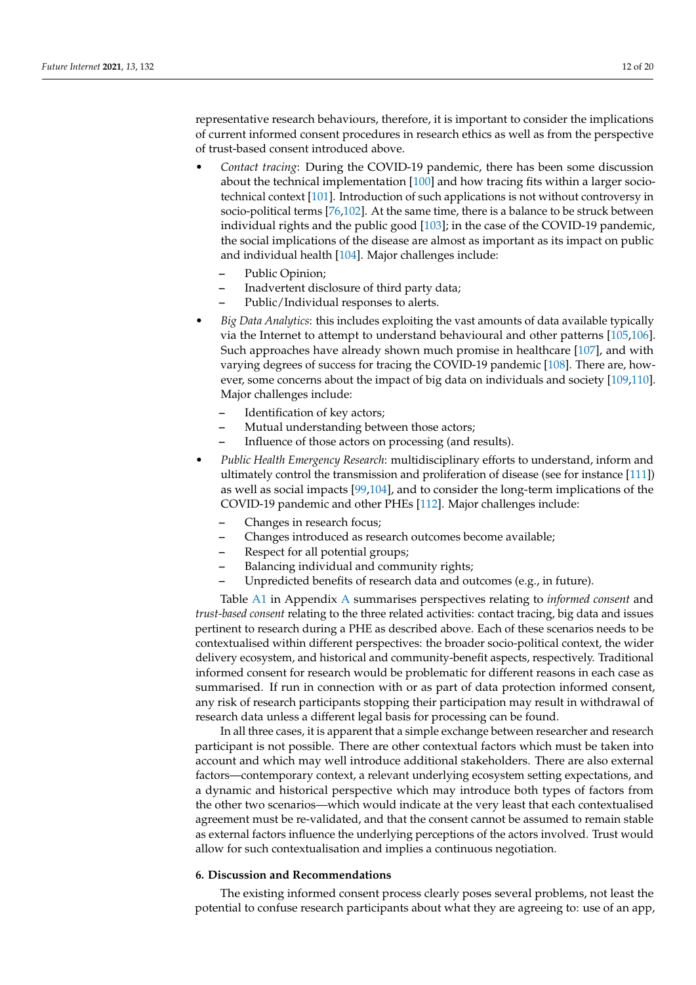representative research behaviours, therefore, it is important to consider the implications of current informed consent procedures in research ethics as well as from the perspective of trust-based consent introduced above.

- *Contact tracing*: During the COVID-19 pandemic, there has been some discussion about the technical implementation [\[100\]](#page-18-28) and how tracing fits within a larger sociotechnical context [\[101\]](#page-18-29). Introduction of such applications is not without controversy in socio-political terms [\[76](#page-18-6)[,102\]](#page-18-30). At the same time, there is a balance to be struck between individual rights and the public good [\[103\]](#page-19-0); in the case of the COVID-19 pandemic, the social implications of the disease are almost as important as its impact on public and individual health [\[104\]](#page-19-1). Major challenges include:
	- **–** Public Opinion;
	- **–** Inadvertent disclosure of third party data;
	- **–** Public/Individual responses to alerts.
- *Big Data Analytics*: this includes exploiting the vast amounts of data available typically via the Internet to attempt to understand behavioural and other patterns [\[105,](#page-19-2)[106\]](#page-19-3). Such approaches have already shown much promise in healthcare [\[107\]](#page-19-4), and with varying degrees of success for tracing the COVID-19 pandemic [\[108\]](#page-19-5). There are, however, some concerns about the impact of big data on individuals and society [\[109](#page-19-6)[,110\]](#page-19-7). Major challenges include:
	- **–** Identification of key actors;
	- **–** Mutual understanding between those actors;
	- **–** Influence of those actors on processing (and results).
- *Public Health Emergency Research*: multidisciplinary efforts to understand, inform and ultimately control the transmission and proliferation of disease (see for instance [\[111\]](#page-19-8)) as well as social impacts [\[99,](#page-18-27)[104\]](#page-19-1), and to consider the long-term implications of the COVID-19 pandemic and other PHEs [\[112\]](#page-19-9). Major challenges include:
	- **–** Changes in research focus;
	- **–** Changes introduced as research outcomes become available;
	- **–** Respect for all potential groups;
	- **–** Balancing individual and community rights;
	- **–** Unpredicted benefits of research data and outcomes (e.g., in future).

Table [A1](#page-15-0) in Appendix [A](#page-15-1) summarises perspectives relating to *informed consent* and *trust-based consent* relating to the three related activities: contact tracing, big data and issues pertinent to research during a PHE as described above. Each of these scenarios needs to be contextualised within different perspectives: the broader socio-political context, the wider delivery ecosystem, and historical and community-benefit aspects, respectively. Traditional informed consent for research would be problematic for different reasons in each case as summarised. If run in connection with or as part of data protection informed consent, any risk of research participants stopping their participation may result in withdrawal of research data unless a different legal basis for processing can be found.

In all three cases, it is apparent that a simple exchange between researcher and research participant is not possible. There are other contextual factors which must be taken into account and which may well introduce additional stakeholders. There are also external factors—contemporary context, a relevant underlying ecosystem setting expectations, and a dynamic and historical perspective which may introduce both types of factors from the other two scenarios—which would indicate at the very least that each contextualised agreement must be re-validated, and that the consent cannot be assumed to remain stable as external factors influence the underlying perceptions of the actors involved. Trust would allow for such contextualisation and implies a continuous negotiation.

#### **6. Discussion and Recommendations**

The existing informed consent process clearly poses several problems, not least the potential to confuse research participants about what they are agreeing to: use of an app,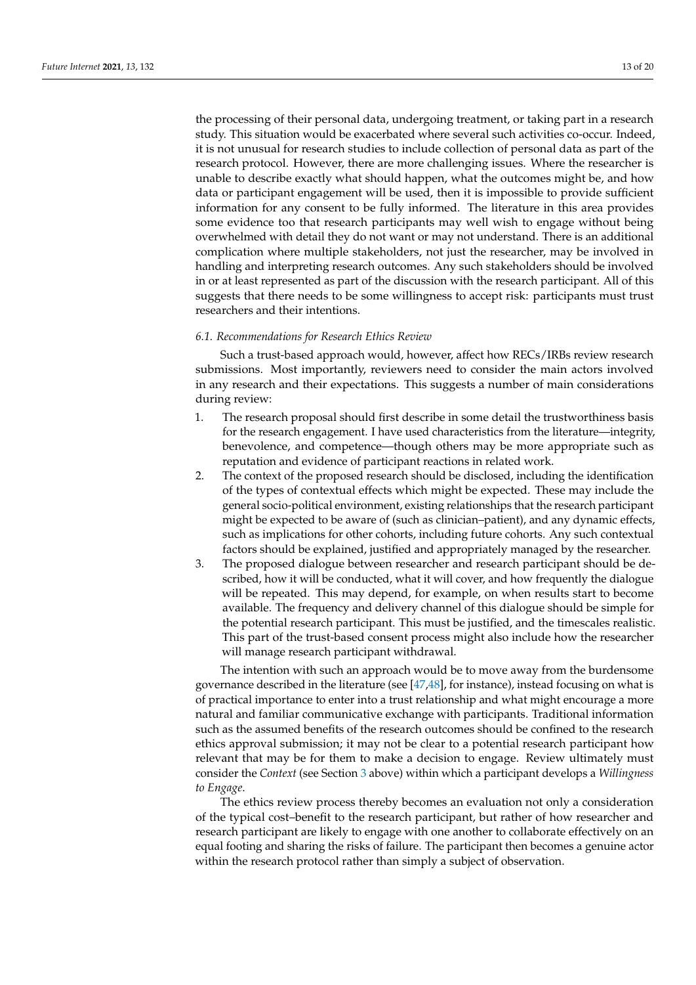the processing of their personal data, undergoing treatment, or taking part in a research study. This situation would be exacerbated where several such activities co-occur. Indeed, it is not unusual for research studies to include collection of personal data as part of the research protocol. However, there are more challenging issues. Where the researcher is unable to describe exactly what should happen, what the outcomes might be, and how data or participant engagement will be used, then it is impossible to provide sufficient information for any consent to be fully informed. The literature in this area provides some evidence too that research participants may well wish to engage without being overwhelmed with detail they do not want or may not understand. There is an additional complication where multiple stakeholders, not just the researcher, may be involved in handling and interpreting research outcomes. Any such stakeholders should be involved in or at least represented as part of the discussion with the research participant. All of this suggests that there needs to be some willingness to accept risk: participants must trust researchers and their intentions.

#### *6.1. Recommendations for Research Ethics Review*

Such a trust-based approach would, however, affect how RECs/IRBs review research submissions. Most importantly, reviewers need to consider the main actors involved in any research and their expectations. This suggests a number of main considerations during review:

- 1. The research proposal should first describe in some detail the trustworthiness basis for the research engagement. I have used characteristics from the literature—integrity, benevolence, and competence—though others may be more appropriate such as reputation and evidence of participant reactions in related work.
- 2. The context of the proposed research should be disclosed, including the identification of the types of contextual effects which might be expected. These may include the general socio-political environment, existing relationships that the research participant might be expected to be aware of (such as clinician–patient), and any dynamic effects, such as implications for other cohorts, including future cohorts. Any such contextual factors should be explained, justified and appropriately managed by the researcher.
- 3. The proposed dialogue between researcher and research participant should be described, how it will be conducted, what it will cover, and how frequently the dialogue will be repeated. This may depend, for example, on when results start to become available. The frequency and delivery channel of this dialogue should be simple for the potential research participant. This must be justified, and the timescales realistic. This part of the trust-based consent process might also include how the researcher will manage research participant withdrawal.

The intention with such an approach would be to move away from the burdensome governance described in the literature (see [\[47](#page-17-15)[,48\]](#page-17-16), for instance), instead focusing on what is of practical importance to enter into a trust relationship and what might encourage a more natural and familiar communicative exchange with participants. Traditional information such as the assumed benefits of the research outcomes should be confined to the research ethics approval submission; it may not be clear to a potential research participant how relevant that may be for them to make a decision to engage. Review ultimately must consider the *Context* (see Section [3](#page-3-0) above) within which a participant develops a *Willingness to Engage*.

The ethics review process thereby becomes an evaluation not only a consideration of the typical cost–benefit to the research participant, but rather of how researcher and research participant are likely to engage with one another to collaborate effectively on an equal footing and sharing the risks of failure. The participant then becomes a genuine actor within the research protocol rather than simply a subject of observation.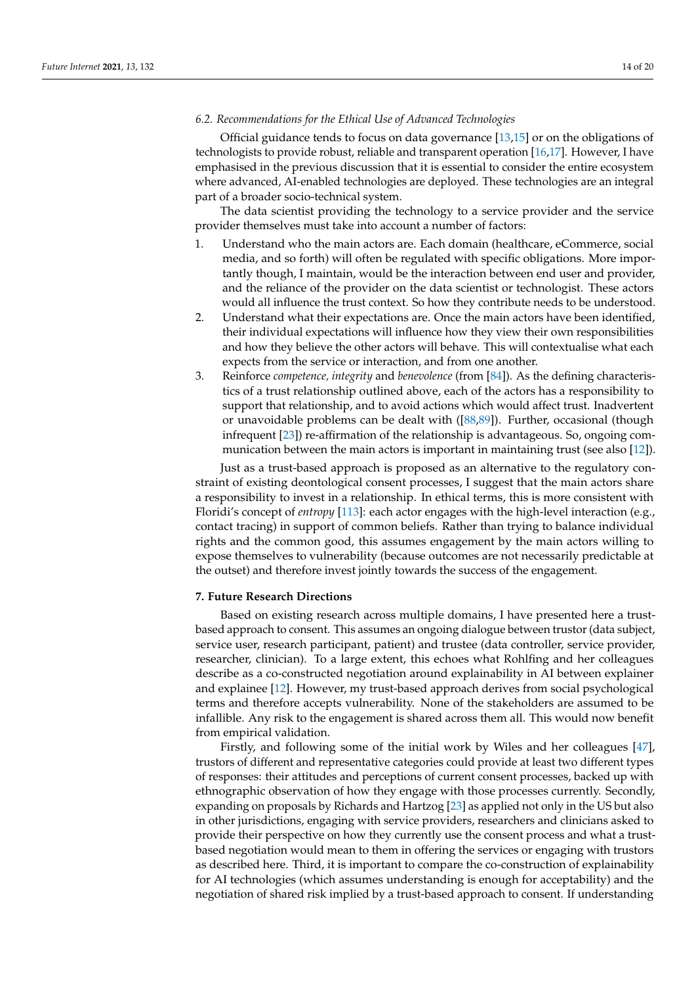#### *6.2. Recommendations for the Ethical Use of Advanced Technologies*

Official guidance tends to focus on data governance [\[13](#page-16-12)[,15\]](#page-16-14) or on the obligations of technologists to provide robust, reliable and transparent operation [\[16,](#page-16-15)[17\]](#page-16-16). However, I have emphasised in the previous discussion that it is essential to consider the entire ecosystem where advanced, AI-enabled technologies are deployed. These technologies are an integral part of a broader socio-technical system.

The data scientist providing the technology to a service provider and the service provider themselves must take into account a number of factors:

- 1. Understand who the main actors are. Each domain (healthcare, eCommerce, social media, and so forth) will often be regulated with specific obligations. More importantly though, I maintain, would be the interaction between end user and provider, and the reliance of the provider on the data scientist or technologist. These actors would all influence the trust context. So how they contribute needs to be understood.
- 2. Understand what their expectations are. Once the main actors have been identified, their individual expectations will influence how they view their own responsibilities and how they believe the other actors will behave. This will contextualise what each expects from the service or interaction, and from one another.
- 3. Reinforce *competence, integrity* and *benevolence* (from [\[84\]](#page-18-14)). As the defining characteristics of a trust relationship outlined above, each of the actors has a responsibility to support that relationship, and to avoid actions which would affect trust. Inadvertent or unavoidable problems can be dealt with ([\[88,](#page-18-18)[89\]](#page-18-19)). Further, occasional (though infrequent [\[23\]](#page-16-22)) re-affirmation of the relationship is advantageous. So, ongoing communication between the main actors is important in maintaining trust (see also [\[12\]](#page-16-11)).

Just as a trust-based approach is proposed as an alternative to the regulatory constraint of existing deontological consent processes, I suggest that the main actors share a responsibility to invest in a relationship. In ethical terms, this is more consistent with Floridi's concept of *entropy* [\[113\]](#page-19-10): each actor engages with the high-level interaction (e.g., contact tracing) in support of common beliefs. Rather than trying to balance individual rights and the common good, this assumes engagement by the main actors willing to expose themselves to vulnerability (because outcomes are not necessarily predictable at the outset) and therefore invest jointly towards the success of the engagement.

#### **7. Future Research Directions**

Based on existing research across multiple domains, I have presented here a trustbased approach to consent. This assumes an ongoing dialogue between trustor (data subject, service user, research participant, patient) and trustee (data controller, service provider, researcher, clinician). To a large extent, this echoes what Rohlfing and her colleagues describe as a co-constructed negotiation around explainability in AI between explainer and explainee [\[12\]](#page-16-11). However, my trust-based approach derives from social psychological terms and therefore accepts vulnerability. None of the stakeholders are assumed to be infallible. Any risk to the engagement is shared across them all. This would now benefit from empirical validation.

Firstly, and following some of the initial work by Wiles and her colleagues [\[47\]](#page-17-15), trustors of different and representative categories could provide at least two different types of responses: their attitudes and perceptions of current consent processes, backed up with ethnographic observation of how they engage with those processes currently. Secondly, expanding on proposals by Richards and Hartzog [\[23\]](#page-16-22) as applied not only in the US but also in other jurisdictions, engaging with service providers, researchers and clinicians asked to provide their perspective on how they currently use the consent process and what a trustbased negotiation would mean to them in offering the services or engaging with trustors as described here. Third, it is important to compare the co-construction of explainability for AI technologies (which assumes understanding is enough for acceptability) and the negotiation of shared risk implied by a trust-based approach to consent. If understanding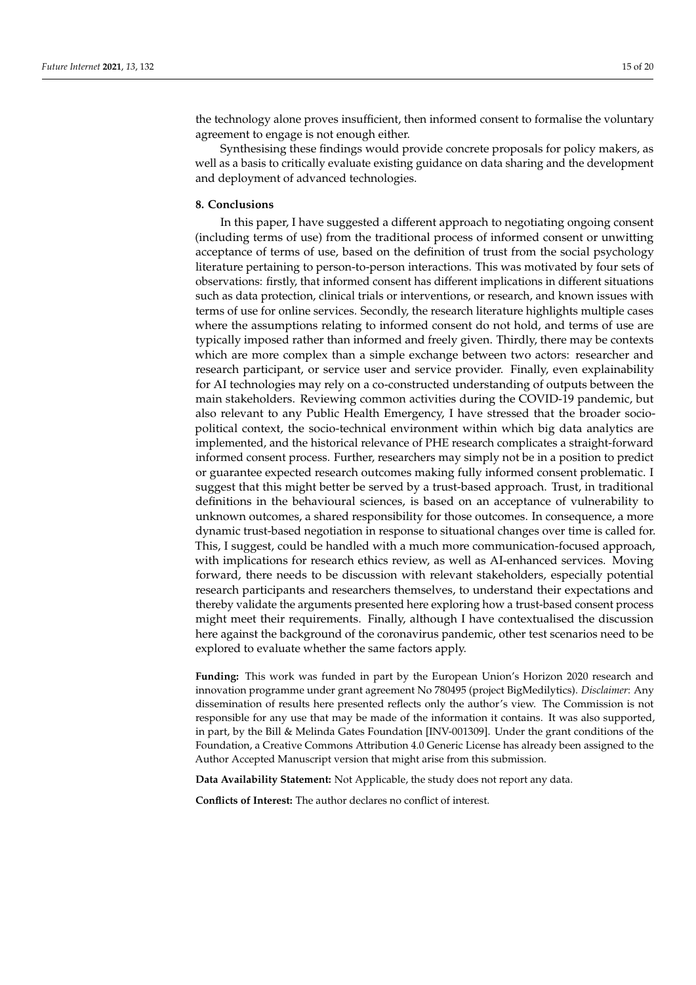the technology alone proves insufficient, then informed consent to formalise the voluntary agreement to engage is not enough either.

Synthesising these findings would provide concrete proposals for policy makers, as well as a basis to critically evaluate existing guidance on data sharing and the development and deployment of advanced technologies.

#### **8. Conclusions**

In this paper, I have suggested a different approach to negotiating ongoing consent (including terms of use) from the traditional process of informed consent or unwitting acceptance of terms of use, based on the definition of trust from the social psychology literature pertaining to person-to-person interactions. This was motivated by four sets of observations: firstly, that informed consent has different implications in different situations such as data protection, clinical trials or interventions, or research, and known issues with terms of use for online services. Secondly, the research literature highlights multiple cases where the assumptions relating to informed consent do not hold, and terms of use are typically imposed rather than informed and freely given. Thirdly, there may be contexts which are more complex than a simple exchange between two actors: researcher and research participant, or service user and service provider. Finally, even explainability for AI technologies may rely on a co-constructed understanding of outputs between the main stakeholders. Reviewing common activities during the COVID-19 pandemic, but also relevant to any Public Health Emergency, I have stressed that the broader sociopolitical context, the socio-technical environment within which big data analytics are implemented, and the historical relevance of PHE research complicates a straight-forward informed consent process. Further, researchers may simply not be in a position to predict or guarantee expected research outcomes making fully informed consent problematic. I suggest that this might better be served by a trust-based approach. Trust, in traditional definitions in the behavioural sciences, is based on an acceptance of vulnerability to unknown outcomes, a shared responsibility for those outcomes. In consequence, a more dynamic trust-based negotiation in response to situational changes over time is called for. This, I suggest, could be handled with a much more communication-focused approach, with implications for research ethics review, as well as AI-enhanced services. Moving forward, there needs to be discussion with relevant stakeholders, especially potential research participants and researchers themselves, to understand their expectations and thereby validate the arguments presented here exploring how a trust-based consent process might meet their requirements. Finally, although I have contextualised the discussion here against the background of the coronavirus pandemic, other test scenarios need to be explored to evaluate whether the same factors apply.

**Funding:** This work was funded in part by the European Union's Horizon 2020 research and innovation programme under grant agreement No 780495 (project BigMedilytics). *Disclaimer*: Any dissemination of results here presented reflects only the author's view. The Commission is not responsible for any use that may be made of the information it contains. It was also supported, in part, by the Bill & Melinda Gates Foundation [INV-001309]. Under the grant conditions of the Foundation, a Creative Commons Attribution 4.0 Generic License has already been assigned to the Author Accepted Manuscript version that might arise from this submission.

**Data Availability Statement:** Not Applicable, the study does not report any data.

**Conflicts of Interest:** The author declares no conflict of interest.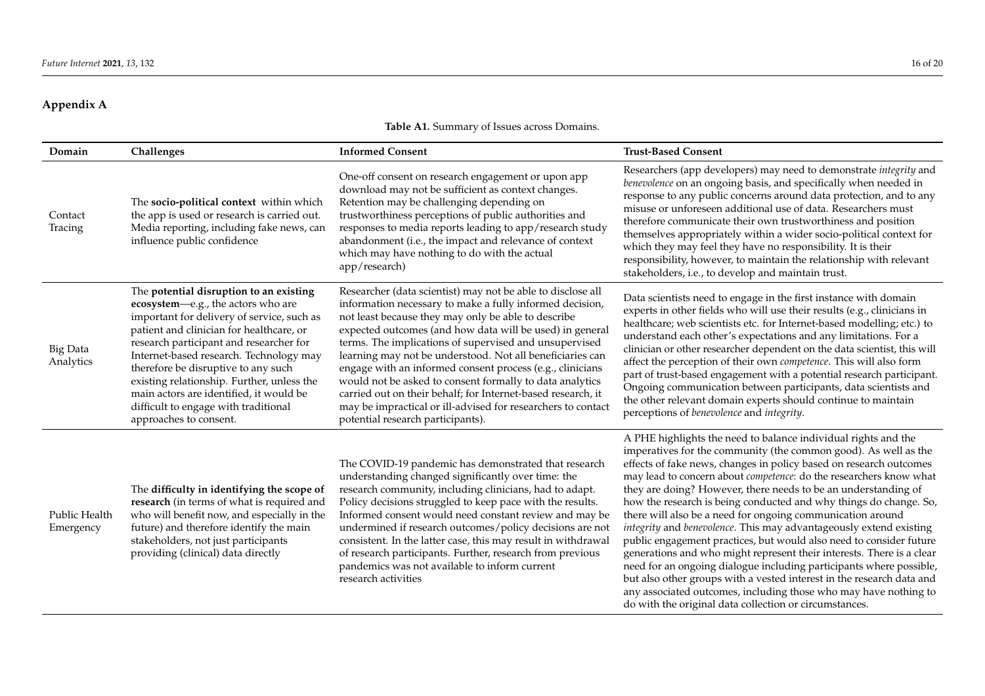# **Appendix A**

| Table A1. Summary of Issues across Domains. |  |  |
|---------------------------------------------|--|--|
|---------------------------------------------|--|--|

<span id="page-15-1"></span><span id="page-15-0"></span>

| Domain                       | Challenges                                                                                                                                                                                                                                                                                                                                                                                                                                                      | <b>Informed Consent</b>                                                                                                                                                                                                                                                                                                                                                                                                                                                                                                                                                                                                                                         | <b>Trust-Based Consent</b>                                                                                                                                                                                                                                                                                                                                                                                                                                                                                                                                                                                                                                                                                                                                                                                                                                                                                                                                                             |
|------------------------------|-----------------------------------------------------------------------------------------------------------------------------------------------------------------------------------------------------------------------------------------------------------------------------------------------------------------------------------------------------------------------------------------------------------------------------------------------------------------|-----------------------------------------------------------------------------------------------------------------------------------------------------------------------------------------------------------------------------------------------------------------------------------------------------------------------------------------------------------------------------------------------------------------------------------------------------------------------------------------------------------------------------------------------------------------------------------------------------------------------------------------------------------------|----------------------------------------------------------------------------------------------------------------------------------------------------------------------------------------------------------------------------------------------------------------------------------------------------------------------------------------------------------------------------------------------------------------------------------------------------------------------------------------------------------------------------------------------------------------------------------------------------------------------------------------------------------------------------------------------------------------------------------------------------------------------------------------------------------------------------------------------------------------------------------------------------------------------------------------------------------------------------------------|
| Contact<br>Tracing           | The socio-political context within which<br>the app is used or research is carried out.<br>Media reporting, including fake news, can<br>influence public confidence                                                                                                                                                                                                                                                                                             | One-off consent on research engagement or upon app<br>download may not be sufficient as context changes.<br>Retention may be challenging depending on<br>trustworthiness perceptions of public authorities and<br>responses to media reports leading to app/research study<br>abandonment (i.e., the impact and relevance of context<br>which may have nothing to do with the actual<br>app/research)                                                                                                                                                                                                                                                           | Researchers (app developers) may need to demonstrate integrity and<br>benevolence on an ongoing basis, and specifically when needed in<br>response to any public concerns around data protection, and to any<br>misuse or unforeseen additional use of data. Researchers must<br>therefore communicate their own trustworthiness and position<br>themselves appropriately within a wider socio-political context for<br>which they may feel they have no responsibility. It is their<br>responsibility, however, to maintain the relationship with relevant<br>stakeholders, i.e., to develop and maintain trust.                                                                                                                                                                                                                                                                                                                                                                      |
| <b>Big Data</b><br>Analytics | The potential disruption to an existing<br>ecosystem-e.g., the actors who are<br>important for delivery of service, such as<br>patient and clinician for healthcare, or<br>research participant and researcher for<br>Internet-based research. Technology may<br>therefore be disruptive to any such<br>existing relationship. Further, unless the<br>main actors are identified, it would be<br>difficult to engage with traditional<br>approaches to consent. | Researcher (data scientist) may not be able to disclose all<br>information necessary to make a fully informed decision,<br>not least because they may only be able to describe<br>expected outcomes (and how data will be used) in general<br>terms. The implications of supervised and unsupervised<br>learning may not be understood. Not all beneficiaries can<br>engage with an informed consent process (e.g., clinicians<br>would not be asked to consent formally to data analytics<br>carried out on their behalf; for Internet-based research, it<br>may be impractical or ill-advised for researchers to contact<br>potential research participants). | Data scientists need to engage in the first instance with domain<br>experts in other fields who will use their results (e.g., clinicians in<br>healthcare; web scientists etc. for Internet-based modelling; etc.) to<br>understand each other's expectations and any limitations. For a<br>clinician or other researcher dependent on the data scientist, this will<br>affect the perception of their own competence. This will also form<br>part of trust-based engagement with a potential research participant.<br>Ongoing communication between participants, data scientists and<br>the other relevant domain experts should continue to maintain<br>perceptions of benevolence and integrity.                                                                                                                                                                                                                                                                                   |
| Public Health<br>Emergency   | The difficulty in identifying the scope of<br>research (in terms of what is required and<br>who will benefit now, and especially in the<br>future) and therefore identify the main<br>stakeholders, not just participants<br>providing (clinical) data directly                                                                                                                                                                                                 | The COVID-19 pandemic has demonstrated that research<br>understanding changed significantly over time: the<br>research community, including clinicians, had to adapt.<br>Policy decisions struggled to keep pace with the results.<br>Informed consent would need constant review and may be<br>undermined if research outcomes/policy decisions are not<br>consistent. In the latter case, this may result in withdrawal<br>of research participants. Further, research from previous<br>pandemics was not available to inform current<br>research activities                                                                                                  | A PHE highlights the need to balance individual rights and the<br>imperatives for the community (the common good). As well as the<br>effects of fake news, changes in policy based on research outcomes<br>may lead to concern about competence: do the researchers know what<br>they are doing? However, there needs to be an understanding of<br>how the research is being conducted and why things do change. So,<br>there will also be a need for ongoing communication around<br>integrity and benevolence. This may advantageously extend existing<br>public engagement practices, but would also need to consider future<br>generations and who might represent their interests. There is a clear<br>need for an ongoing dialogue including participants where possible,<br>but also other groups with a vested interest in the research data and<br>any associated outcomes, including those who may have nothing to<br>do with the original data collection or circumstances. |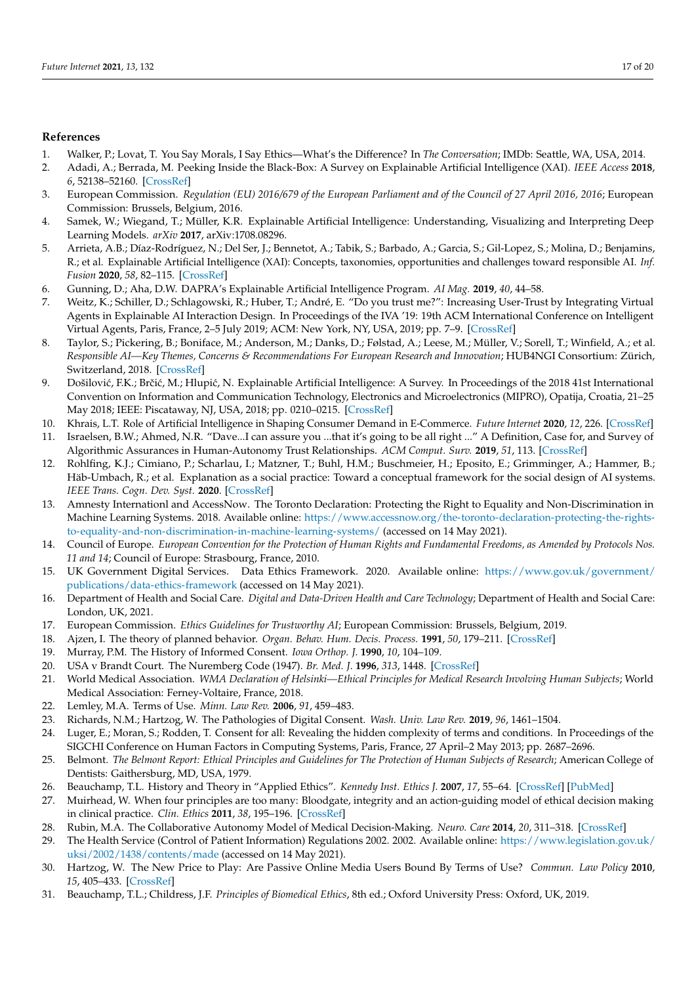#### **References**

- <span id="page-16-0"></span>1. Walker, P.; Lovat, T. You Say Morals, I Say Ethics—What's the Difference? In *The Conversation*; IMDb: Seattle, WA, USA, 2014.
- <span id="page-16-1"></span>2. Adadi, A.; Berrada, M. Peeking Inside the Black-Box: A Survey on Explainable Artificial Intelligence (XAI). *IEEE Access* **2018**, *6*, 52138–52160. [\[CrossRef\]](http://doi.org/10.1109/ACCESS.2018.2870052)
- <span id="page-16-2"></span>3. European Commission. *Regulation (EU) 2016/679 of the European Parliament and of the Council of 27 April 2016, 2016*; European Commission: Brussels, Belgium, 2016.
- <span id="page-16-3"></span>4. Samek, W.; Wiegand, T.; Müller, K.R. Explainable Artificial Intelligence: Understanding, Visualizing and Interpreting Deep Learning Models. *arXiv* **2017**, arXiv:1708.08296.
- <span id="page-16-4"></span>5. Arrieta, A.B.; Díaz-Rodríguez, N.; Del Ser, J.; Bennetot, A.; Tabik, S.; Barbado, A.; Garcia, S.; Gil-Lopez, S.; Molina, D.; Benjamins, R.; et al. Explainable Artificial Intelligence (XAI): Concepts, taxonomies, opportunities and challenges toward responsible AI. *Inf. Fusion* **2020**, *58*, 82–115. [\[CrossRef\]](http://dx.doi.org/10.1016/j.inffus.2019.12.012)
- <span id="page-16-5"></span>6. Gunning, D.; Aha, D.W. DAPRA's Explainable Artificial Intelligence Program. *AI Mag.* **2019**, *40*, 44–58.
- <span id="page-16-6"></span>7. Weitz, K.; Schiller, D.; Schlagowski, R.; Huber, T.; André, E. "Do you trust me?": Increasing User-Trust by Integrating Virtual Agents in Explainable AI Interaction Design. In Proceedings of the IVA '19: 19th ACM International Conference on Intelligent Virtual Agents, Paris, France, 2–5 July 2019; ACM: New York, NY, USA, 2019; pp. 7–9. [\[CrossRef\]](http://dx.doi.org/10.1145/3308532.3329441)
- <span id="page-16-7"></span>8. Taylor, S.; Pickering, B.; Boniface, M.; Anderson, M.; Danks, D.; Følstad, A.; Leese, M.; Müller, V.; Sorell, T.; Winfield, A.; et al. *Responsible AI—Key Themes, Concerns & Recommendations For European Research and Innovation*; HUB4NGI Consortium: Zürich, Switzerland, 2018. [\[CrossRef\]](http://dx.doi.org/10.5281/zenodo.1303252)
- <span id="page-16-8"></span>9. Došilović, F.K.; Brčić, M.; Hlupić, N. Explainable Artificial Intelligence: A Survey. In Proceedings of the 2018 41st International Convention on Information and Communication Technology, Electronics and Microelectronics (MIPRO), Opatija, Croatia, 21–25 May 2018; IEEE: Piscataway, NJ, USA, 2018; pp. 0210–0215. [\[CrossRef\]](http://dx.doi.org/10.23919/MIPRO.2018.8400040)
- <span id="page-16-9"></span>10. Khrais, L.T. Role of Artificial Intelligence in Shaping Consumer Demand in E-Commerce. *Future Internet* **2020**, *12*, 226. [\[CrossRef\]](http://dx.doi.org/10.3390/fi12120226)
- <span id="page-16-10"></span>11. Israelsen, B.W.; Ahmed, N.R. "Dave...I can assure you ...that it's going to be all right ..." A Definition, Case for, and Survey of Algorithmic Assurances in Human-Autonomy Trust Relationships. *ACM Comput. Surv.* **2019**, *51*, 113. [\[CrossRef\]](http://dx.doi.org/10.1145/3267338)
- <span id="page-16-11"></span>12. Rohlfing, K.J.; Cimiano, P.; Scharlau, I.; Matzner, T.; Buhl, H.M.; Buschmeier, H.; Eposito, E.; Grimminger, A.; Hammer, B.; Häb-Umbach, R.; et al. Explanation as a social practice: Toward a conceptual framework for the social design of AI systems. *IEEE Trans. Cogn. Dev. Syst.* **2020**. [\[CrossRef\]](http://dx.doi.org/10.1109/TCDS.2020.3044366)
- <span id="page-16-12"></span>13. Amnesty Internationl and AccessNow. The Toronto Declaration: Protecting the Right to Equality and Non-Discrimination in Machine Learning Systems. 2018. Available online: [https://www.accessnow.org/the-toronto-declaration-protecting-the-rights](https://www.accessnow.org/the-toronto-declaration-protecting-the-rights-to-equality-and-non-discrimination-in-machine-learning-systems/)[to-equality-and-non-discrimination-in-machine-learning-systems/](https://www.accessnow.org/the-toronto-declaration-protecting-the-rights-to-equality-and-non-discrimination-in-machine-learning-systems/) (accessed on 14 May 2021).
- <span id="page-16-13"></span>14. Council of Europe. *European Convention for the Protection of Human Rights and Fundamental Freedoms, as Amended by Protocols Nos. 11 and 14*; Council of Europe: Strasbourg, France, 2010.
- <span id="page-16-14"></span>15. UK Government Digital Services. Data Ethics Framework. 2020. Available online: [https://www.gov.uk/government/](https://www.gov.uk/government/publications/data-ethics-framework) [publications/data-ethics-framework](https://www.gov.uk/government/publications/data-ethics-framework) (accessed on 14 May 2021).
- <span id="page-16-15"></span>16. Department of Health and Social Care. *Digital and Data-Driven Health and Care Technology*; Department of Health and Social Care: London, UK, 2021.
- <span id="page-16-16"></span>17. European Commission. *Ethics Guidelines for Trustworthy AI*; European Commission: Brussels, Belgium, 2019.
- <span id="page-16-17"></span>18. Ajzen, I. The theory of planned behavior. *Organ. Behav. Hum. Decis. Process.* **1991**, *50*, 179–211. [\[CrossRef\]](http://dx.doi.org/10.1016/0749-5978(91)90020-T)
- <span id="page-16-18"></span>19. Murray, P.M. The History of Informed Consent. *Iowa Orthop. J.* **1990**, *10*, 104–109.
- <span id="page-16-19"></span>20. USA v Brandt Court. The Nuremberg Code (1947). *Br. Med. J.* **1996**, *313*, 1448. [\[CrossRef\]](http://dx.doi.org/10.1136/bmj.313.7070.1448)
- <span id="page-16-20"></span>21. World Medical Association. *WMA Declaration of Helsinki—Ethical Principles for Medical Research Involving Human Subjects*; World Medical Association: Ferney-Voltaire, France, 2018.
- <span id="page-16-21"></span>22. Lemley, M.A. Terms of Use. *Minn. Law Rev.* **2006**, *91*, 459–483.
- <span id="page-16-22"></span>23. Richards, N.M.; Hartzog, W. The Pathologies of Digital Consent. *Wash. Univ. Law Rev.* **2019**, *96*, 1461–1504.
- <span id="page-16-23"></span>24. Luger, E.; Moran, S.; Rodden, T. Consent for all: Revealing the hidden complexity of terms and conditions. In Proceedings of the SIGCHI Conference on Human Factors in Computing Systems, Paris, France, 27 April–2 May 2013; pp. 2687–2696.
- <span id="page-16-24"></span>25. Belmont. *The Belmont Report: Ethical Principles and Guidelines for The Protection of Human Subjects of Research*; American College of Dentists: Gaithersburg, MD, USA, 1979.
- <span id="page-16-25"></span>26. Beauchamp, T.L. History and Theory in "Applied Ethics". *Kennedy Inst. Ethics J.* **2007**, *17*, 55–64. [\[CrossRef\]](http://dx.doi.org/10.1353/ken.2007.0001) [\[PubMed\]](http://www.ncbi.nlm.nih.gov/pubmed/17849664)
- <span id="page-16-26"></span>27. Muirhead, W. When four principles are too many: Bloodgate, integrity and an action-guiding model of ethical decision making in clinical practice. *Clin. Ethics* **2011**, *38*, 195–196. [\[CrossRef\]](http://dx.doi.org/10.1136/medethics-2011-100136)
- <span id="page-16-27"></span>28. Rubin, M.A. The Collaborative Autonomy Model of Medical Decision-Making. *Neuro. Care* **2014**, *20*, 311–318. [\[CrossRef\]](http://dx.doi.org/10.1007/s12028-013-9922-2)
- <span id="page-16-28"></span>29. The Health Service (Control of Patient Information) Regulations 2002. 2002. Available online: [https://www.legislation.gov.uk/](https://www.legislation.gov.uk/uksi/2002/1438/contents/made) [uksi/2002/1438/contents/made](https://www.legislation.gov.uk/uksi/2002/1438/contents/made) (accessed on 14 May 2021).
- <span id="page-16-29"></span>30. Hartzog, W. The New Price to Play: Are Passive Online Media Users Bound By Terms of Use? *Commun. Law Policy* **2010**, *15*, 405–433. [\[CrossRef\]](http://dx.doi.org/10.1080/10811680.2010.512514)
- <span id="page-16-30"></span>31. Beauchamp, T.L.; Childress, J.F. *Principles of Biomedical Ethics*, 8th ed.; Oxford University Press: Oxford, UK, 2019.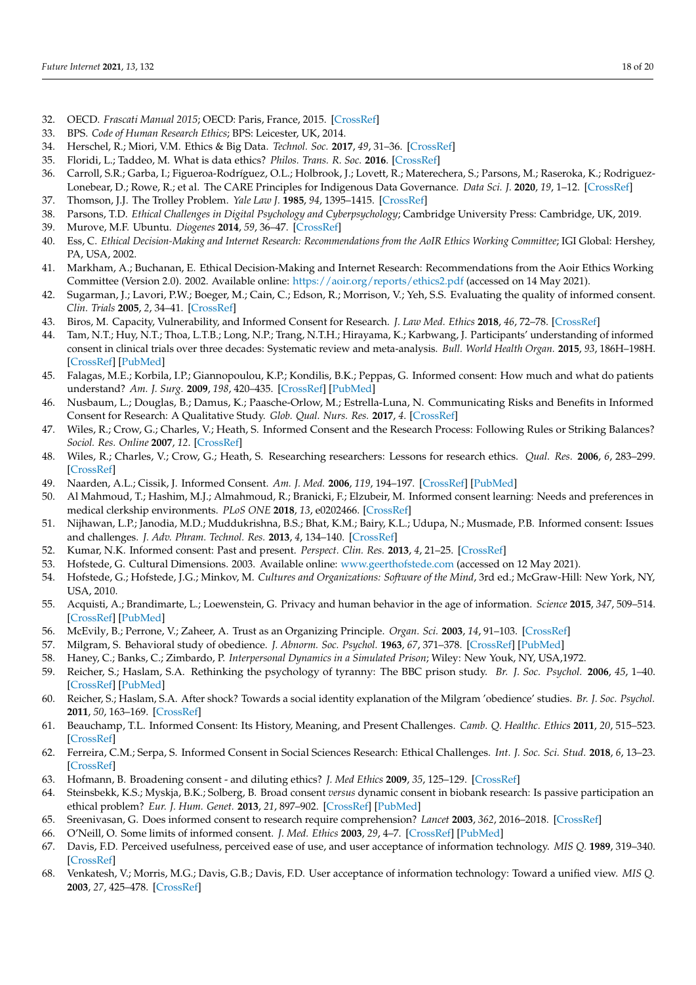- <span id="page-17-0"></span>32. OECD. *Frascati Manual 2015*; OECD: Paris, France, 2015. [\[CrossRef\]](http://dx.doi.org/10.1787/9789264239012-en)
- <span id="page-17-1"></span>33. BPS. *Code of Human Research Ethics*; BPS: Leicester, UK, 2014.
- <span id="page-17-2"></span>34. Herschel, R.; Miori, V.M. Ethics & Big Data. *Technol. Soc.* **2017**, *49*, 31–36. [\[CrossRef\]](http://dx.doi.org/10.1016/j.techsoc.2017.03.003)
- <span id="page-17-3"></span>35. Floridi, L.; Taddeo, M. What is data ethics? *Philos. Trans. R. Soc.* **2016**. [\[CrossRef\]](http://dx.doi.org/10.1098/rsta.2016.0360)
- <span id="page-17-4"></span>36. Carroll, S.R.; Garba, I.; Figueroa-Rodríguez, O.L.; Holbrook, J.; Lovett, R.; Materechera, S.; Parsons, M.; Raseroka, K.; Rodriguez-Lonebear, D.; Rowe, R.; et al. The CARE Principles for Indigenous Data Governance. *Data Sci. J.* **2020**, *19*, 1–12. [\[CrossRef\]](http://dx.doi.org/10.5334/dsj-2020-043)
- <span id="page-17-5"></span>37. Thomson, J.J. The Trolley Problem. *Yale Law J.* **1985**, *94*, 1395–1415. [\[CrossRef\]](http://dx.doi.org/10.2307/796133)
- <span id="page-17-6"></span>38. Parsons, T.D. *Ethical Challenges in Digital Psychology and Cyberpsychology*; Cambridge University Press: Cambridge, UK, 2019.
- <span id="page-17-7"></span>39. Murove, M.F. Ubuntu. *Diogenes* **2014**, *59*, 36–47. [\[CrossRef\]](http://dx.doi.org/10.1177/0392192113493737)
- <span id="page-17-8"></span>40. Ess, C. *Ethical Decision-Making and Internet Research: Recommendations from the AoIR Ethics Working Committee*; IGI Global: Hershey, PA, USA, 2002.
- <span id="page-17-9"></span>41. Markham, A.; Buchanan, E. Ethical Decision-Making and Internet Research: Recommendations from the Aoir Ethics Working Committee (Version 2.0). 2002. Available online: <https://aoir.org/reports/ethics2.pdf> (accessed on 14 May 2021).
- <span id="page-17-10"></span>42. Sugarman, J.; Lavori, P.W.; Boeger, M.; Cain, C.; Edson, R.; Morrison, V.; Yeh, S.S. Evaluating the quality of informed consent. *Clin. Trials* **2005**, *2*, 34–41. [\[CrossRef\]](http://dx.doi.org/10.1191/1740774505cn066oa)
- <span id="page-17-11"></span>43. Biros, M. Capacity, Vulnerability, and Informed Consent for Research. *J. Law Med. Ethics* **2018**, *46*, 72–78. [\[CrossRef\]](http://dx.doi.org/10.1177/1073110518766021)
- <span id="page-17-12"></span>44. Tam, N.T.; Huy, N.T.; Thoa, L.T.B.; Long, N.P.; Trang, N.T.H.; Hirayama, K.; Karbwang, J. Participants' understanding of informed consent in clinical trials over three decades: Systematic review and meta-analysis. *Bull. World Health Organ.* **2015**, *93*, 186H–198H. [\[CrossRef\]](http://dx.doi.org/10.2471/BLT.14.141390) [\[PubMed\]](http://www.ncbi.nlm.nih.gov/pubmed/25883410)
- <span id="page-17-13"></span>45. Falagas, M.E.; Korbila, I.P.; Giannopoulou, K.P.; Kondilis, B.K.; Peppas, G. Informed consent: How much and what do patients understand? *Am. J. Surg.* **2009**, *198*, 420–435. [\[CrossRef\]](http://dx.doi.org/10.1016/j.amjsurg.2009.02.010) [\[PubMed\]](http://www.ncbi.nlm.nih.gov/pubmed/19716887)
- <span id="page-17-14"></span>46. Nusbaum, L.; Douglas, B.; Damus, K.; Paasche-Orlow, M.; Estrella-Luna, N. Communicating Risks and Benefits in Informed Consent for Research: A Qualitative Study. *Glob. Qual. Nurs. Res.* **2017**, *4*. [\[CrossRef\]](http://dx.doi.org/10.1177/2333393617732017)
- <span id="page-17-15"></span>47. Wiles, R.; Crow, G.; Charles, V.; Heath, S. Informed Consent and the Research Process: Following Rules or Striking Balances? *Sociol. Res. Online* **2007**, *12*. [\[CrossRef\]](http://dx.doi.org/10.5153/sro.1208)
- <span id="page-17-16"></span>48. Wiles, R.; Charles, V.; Crow, G.; Heath, S. Researching researchers: Lessons for research ethics. *Qual. Res.* **2006**, *6*, 283–299. [\[CrossRef\]](http://dx.doi.org/10.1177/1468794106065004)
- <span id="page-17-17"></span>49. Naarden, A.L.; Cissik, J. Informed Consent. *Am. J. Med.* **2006**, *119*, 194–197. [\[CrossRef\]](http://dx.doi.org/10.1016/j.amjmed.2005.10.040) [\[PubMed\]](http://www.ncbi.nlm.nih.gov/pubmed/16490461)
- <span id="page-17-18"></span>50. Al Mahmoud, T.; Hashim, M.J.; Almahmoud, R.; Branicki, F.; Elzubeir, M. Informed consent learning: Needs and preferences in medical clerkship environments. *PLoS ONE* **2018**, *13*, e0202466. [\[CrossRef\]](http://dx.doi.org/10.1371/journal.pone.0202466)
- <span id="page-17-19"></span>51. Nijhawan, L.P.; Janodia, M.D.; Muddukrishna, B.S.; Bhat, K.M.; Bairy, K.L.; Udupa, N.; Musmade, P.B. Informed consent: Issues and challenges. *J. Adv. Phram. Technol. Res.* **2013**, *4*, 134–140. [\[CrossRef\]](http://dx.doi.org/10.4103/2231-4040.116779)
- <span id="page-17-20"></span>52. Kumar, N.K. Informed consent: Past and present. *Perspect. Clin. Res.* **2013**, *4*, 21–25. [\[CrossRef\]](http://dx.doi.org/10.4103/2229-3485.106372)
- <span id="page-17-21"></span>53. Hofstede, G. Cultural Dimensions. 2003. Available online: <www.geerthofstede.com> (accessed on 12 May 2021).
- <span id="page-17-22"></span>54. Hofstede, G.; Hofstede, J.G.; Minkov, M. *Cultures and Organizations: Software of the Mind*, 3rd ed.; McGraw-Hill: New York, NY, USA, 2010.
- <span id="page-17-23"></span>55. Acquisti, A.; Brandimarte, L.; Loewenstein, G. Privacy and human behavior in the age of information. *Science* **2015**, *347*, 509–514. [\[CrossRef\]](http://dx.doi.org/10.1126/science.aaa1465) [\[PubMed\]](http://www.ncbi.nlm.nih.gov/pubmed/25635091)
- <span id="page-17-24"></span>56. McEvily, B.; Perrone, V.; Zaheer, A. Trust as an Organizing Principle. *Organ. Sci.* **2003**, *14*, 91–103. [\[CrossRef\]](http://dx.doi.org/10.1287/orsc.14.1.91.12814)
- <span id="page-17-25"></span>57. Milgram, S. Behavioral study of obedience. *J. Abnorm. Soc. Psychol.* **1963**, *67*, 371–378. [\[CrossRef\]](http://dx.doi.org/10.1037/h0040525) [\[PubMed\]](http://www.ncbi.nlm.nih.gov/pubmed/14049516)
- <span id="page-17-26"></span>58. Haney, C.; Banks, C.; Zimbardo, P. *Interpersonal Dynamics in a Simulated Prison*; Wiley: New Youk, NY, USA,1972.
- <span id="page-17-27"></span>59. Reicher, S.; Haslam, S.A. Rethinking the psychology of tyranny: The BBC prison study. *Br. J. Soc. Psychol.* **2006**, *45*, 1–40. [\[CrossRef\]](http://dx.doi.org/10.1348/014466605X48998) [\[PubMed\]](http://www.ncbi.nlm.nih.gov/pubmed/16573869)
- <span id="page-17-28"></span>60. Reicher, S.; Haslam, S.A. After shock? Towards a social identity explanation of the Milgram 'obedience' studies. *Br. J. Soc. Psychol.* **2011**, *50*, 163–169. [\[CrossRef\]](http://dx.doi.org/10.1111/j.2044-8309.2010.02015.x)
- <span id="page-17-29"></span>61. Beauchamp, T.L. Informed Consent: Its History, Meaning, and Present Challenges. *Camb. Q. Healthc. Ethics* **2011**, *20*, 515–523. [\[CrossRef\]](http://dx.doi.org/10.1017/S0963180111000259)
- <span id="page-17-30"></span>62. Ferreira, C.M.; Serpa, S. Informed Consent in Social Sciences Research: Ethical Challenges. *Int. J. Soc. Sci. Stud.* **2018**, *6*, 13–23. [\[CrossRef\]](http://dx.doi.org/10.11114/ijsss.v6i5.3106)
- <span id="page-17-31"></span>63. Hofmann, B. Broadening consent - and diluting ethics? *J. Med Ethics* **2009**, *35*, 125–129. [\[CrossRef\]](http://dx.doi.org/10.1136/jme.2008.024851)
- <span id="page-17-32"></span>64. Steinsbekk, K.S.; Myskja, B.K.; Solberg, B. Broad consent *versus* dynamic consent in biobank research: Is passive participation an ethical problem? *Eur. J. Hum. Genet.* **2013**, *21*, 897–902. [\[CrossRef\]](http://dx.doi.org/10.1038/ejhg.2012.282) [\[PubMed\]](http://www.ncbi.nlm.nih.gov/pubmed/23299918)
- <span id="page-17-33"></span>65. Sreenivasan, G. Does informed consent to research require comprehension? *Lancet* **2003**, *362*, 2016–2018. [\[CrossRef\]](http://dx.doi.org/10.1016/S0140-6736(03)15025-8)
- <span id="page-17-34"></span>66. O'Neill, O. Some limits of informed consent. *J. Med. Ethics* **2003**, *29*, 4–7. [\[CrossRef\]](http://dx.doi.org/10.1136/jme.29.1.4) [\[PubMed\]](http://www.ncbi.nlm.nih.gov/pubmed/12569185)
- <span id="page-17-35"></span>67. Davis, F.D. Perceived usefulness, perceived ease of use, and user acceptance of information technology. *MIS Q.* **1989**, 319–340. [\[CrossRef\]](http://dx.doi.org/10.2307/249008)
- <span id="page-17-36"></span>68. Venkatesh, V.; Morris, M.G.; Davis, G.B.; Davis, F.D. User acceptance of information technology: Toward a unified view. *MIS Q.* **2003**, *27*, 425–478. [\[CrossRef\]](http://dx.doi.org/10.2307/30036540)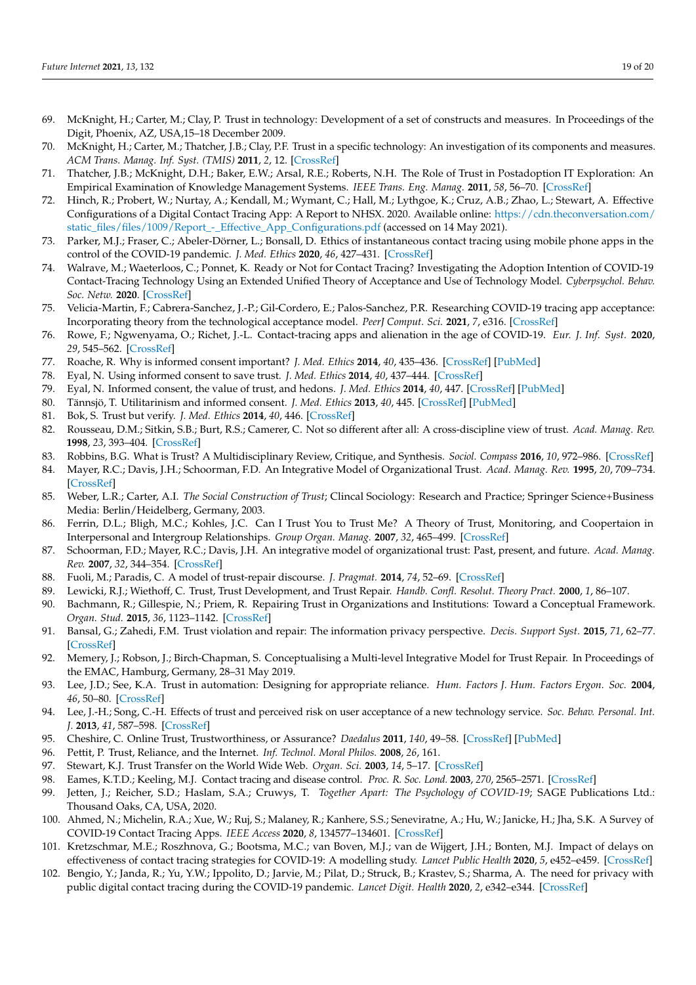- <span id="page-18-0"></span>69. McKnight, H.; Carter, M.; Clay, P. Trust in technology: Development of a set of constructs and measures. In Proceedings of the Digit, Phoenix, AZ, USA,15–18 December 2009.
- <span id="page-18-21"></span>70. McKnight, H.; Carter, M.; Thatcher, J.B.; Clay, P.F. Trust in a specific technology: An investigation of its components and measures. *ACM Trans. Manag. Inf. Syst. (TMIS)* **2011**, *2*, 12. [\[CrossRef\]](http://dx.doi.org/10.1145/1985347.1985353)
- <span id="page-18-1"></span>71. Thatcher, J.B.; McKnight, D.H.; Baker, E.W.; Arsal, R.E.; Roberts, N.H. The Role of Trust in Postadoption IT Exploration: An Empirical Examination of Knowledge Management Systems. *IEEE Trans. Eng. Manag.* **2011**, *58*, 56–70. [\[CrossRef\]](http://dx.doi.org/10.1109/TEM.2009.2028320)
- <span id="page-18-2"></span>72. Hinch, R.; Probert, W.; Nurtay, A.; Kendall, M.; Wymant, C.; Hall, M.; Lythgoe, K.; Cruz, A.B.; Zhao, L.; Stewart, A. Effective Configurations of a Digital Contact Tracing App: A Report to NHSX. 2020. Available online: [https://cdn.theconversation.com/](https://cdn.theconversation.com/static_files/files/1009/Report_-_Effective_App_Configurations.pdf) [static\\_files/files/1009/Report\\_-\\_Effective\\_App\\_Configurations.pdf](https://cdn.theconversation.com/static_files/files/1009/Report_-_Effective_App_Configurations.pdf) (accessed on 14 May 2021).
- <span id="page-18-3"></span>73. Parker, M.J.; Fraser, C.; Abeler-Dörner, L.; Bonsall, D. Ethics of instantaneous contact tracing using mobile phone apps in the control of the COVID-19 pandemic. *J. Med. Ethics* **2020**, *46*, 427–431. [\[CrossRef\]](http://dx.doi.org/10.1136/medethics-2020-106314)
- <span id="page-18-4"></span>74. Walrave, M.; Waeterloos, C.; Ponnet, K. Ready or Not for Contact Tracing? Investigating the Adoption Intention of COVID-19 Contact-Tracing Technology Using an Extended Unified Theory of Acceptance and Use of Technology Model. *Cyberpsychol. Behav. Soc. Netw.* **2020**. [\[CrossRef\]](http://dx.doi.org/10.1089/cyber.2020.0483)
- <span id="page-18-5"></span>75. Velicia-Martin, F.; Cabrera-Sanchez, J.-P.; Gil-Cordero, E.; Palos-Sanchez, P.R. Researching COVID-19 tracing app acceptance: Incorporating theory from the technological acceptance model. *PeerJ Comput. Sci.* **2021**, *7*, e316. [\[CrossRef\]](http://dx.doi.org/10.7717/peerj-cs.316)
- <span id="page-18-6"></span>76. Rowe, F.; Ngwenyama, O.; Richet, J.-L. Contact-tracing apps and alienation in the age of COVID-19. *Eur. J. Inf. Syst.* **2020**, *29*, 545–562. [\[CrossRef\]](http://dx.doi.org/10.1080/0960085X.2020.1803155)
- <span id="page-18-7"></span>77. Roache, R. Why is informed consent important? *J. Med. Ethics* **2014**, *40*, 435–436. [\[CrossRef\]](http://dx.doi.org/10.1136/medethics-2014-102264) [\[PubMed\]](http://www.ncbi.nlm.nih.gov/pubmed/25180354)
- <span id="page-18-8"></span>78. Eyal, N. Using informed consent to save trust. *J. Med. Ethics* **2014**, *40*, 437–444. [\[CrossRef\]](http://dx.doi.org/10.1136/medethics-2012-100490)
- <span id="page-18-9"></span>79. Eyal, N. Informed consent, the value of trust, and hedons. *J. Med. Ethics* **2014**, *40*, 447. [\[CrossRef\]](http://dx.doi.org/10.1136/medethics-2012-101208) [\[PubMed\]](http://www.ncbi.nlm.nih.gov/pubmed/24030163)
- <span id="page-18-10"></span>80. Tännsjö, T. Utilitarinism and informed consent. *J. Med. Ethics* **2013**, *40*, 445. [\[CrossRef\]](http://dx.doi.org/10.1136/medethics-2012-101206) [\[PubMed\]](http://www.ncbi.nlm.nih.gov/pubmed/23303176)
- <span id="page-18-11"></span>81. Bok, S. Trust but verify. *J. Med. Ethics* **2014**, *40*, 446. [\[CrossRef\]](http://dx.doi.org/10.1136/medethics-2012-101207)
- <span id="page-18-12"></span>82. Rousseau, D.M.; Sitkin, S.B.; Burt, R.S.; Camerer, C. Not so different after all: A cross-discipline view of trust. *Acad. Manag. Rev.* **1998**, *23*, 393–404. [\[CrossRef\]](http://dx.doi.org/10.5465/amr.1998.926617)
- <span id="page-18-13"></span>83. Robbins, B.G. What is Trust? A Multidisciplinary Review, Critique, and Synthesis. *Sociol. Compass* **2016**, *10*, 972–986. [\[CrossRef\]](http://dx.doi.org/10.1111/soc4.12391)
- <span id="page-18-14"></span>84. Mayer, R.C.; Davis, J.H.; Schoorman, F.D. An Integrative Model of Organizational Trust. *Acad. Manag. Rev.* **1995**, *20*, 709–734. [\[CrossRef\]](http://dx.doi.org/10.5465/amr.1995.9508080335)
- <span id="page-18-15"></span>85. Weber, L.R.; Carter, A.I. *The Social Construction of Trust*; Clincal Sociology: Research and Practice; Springer Science+Business Media: Berlin/Heidelberg, Germany, 2003.
- <span id="page-18-16"></span>86. Ferrin, D.L.; Bligh, M.C.; Kohles, J.C. Can I Trust You to Trust Me? A Theory of Trust, Monitoring, and Coopertaion in Interpersonal and Intergroup Relationships. *Group Organ. Manag.* **2007**, *32*, 465–499. [\[CrossRef\]](http://dx.doi.org/10.1177/1059601106293960)
- <span id="page-18-17"></span>87. Schoorman, F.D.; Mayer, R.C.; Davis, J.H. An integrative model of organizational trust: Past, present, and future. *Acad. Manag. Rev.* **2007**, *32*, 344–354. [\[CrossRef\]](http://dx.doi.org/10.5465/amr.2007.24348410)
- <span id="page-18-18"></span>88. Fuoli, M.; Paradis, C. A model of trust-repair discourse. *J. Pragmat.* **2014**, *74*, 52–69. [\[CrossRef\]](http://dx.doi.org/10.1016/j.pragma.2014.09.001)
- <span id="page-18-19"></span>89. Lewicki, R.J.; Wiethoff, C. Trust, Trust Development, and Trust Repair. *Handb. Confl. Resolut. Theory Pract.* **2000**, *1*, 86–107.
- 90. Bachmann, R.; Gillespie, N.; Priem, R. Repairing Trust in Organizations and Institutions: Toward a Conceptual Framework. *Organ. Stud.* **2015**, *36*, 1123–1142. [\[CrossRef\]](http://dx.doi.org/10.1177/0170840615599334)
- 91. Bansal, G.; Zahedi, F.M. Trust violation and repair: The information privacy perspective. *Decis. Support Syst.* **2015**, *71*, 62–77. [\[CrossRef\]](http://dx.doi.org/10.1016/j.dss.2015.01.009)
- <span id="page-18-20"></span>92. Memery, J.; Robson, J.; Birch-Chapman, S. Conceptualising a Multi-level Integrative Model for Trust Repair. In Proceedings of the EMAC, Hamburg, Germany, 28–31 May 2019.
- <span id="page-18-22"></span>93. Lee, J.D.; See, K.A. Trust in automation: Designing for appropriate reliance. *Hum. Factors J. Hum. Factors Ergon. Soc.* **2004**, *46*, 50–80. [\[CrossRef\]](http://dx.doi.org/10.1518/hfes.46.1.50.30392)
- <span id="page-18-23"></span>94. Lee, J.-H.; Song, C.-H. Effects of trust and perceived risk on user acceptance of a new technology service. *Soc. Behav. Personal. Int. J.* **2013**, *41*, 587–598. [\[CrossRef\]](http://dx.doi.org/10.2224/sbp.2013.41.4.587)
- <span id="page-18-24"></span>95. Cheshire, C. Online Trust, Trustworthiness, or Assurance? *Daedalus* **2011**, *140*, 49–58. [\[CrossRef\]](http://dx.doi.org/10.1162/DAED_a_00114) [\[PubMed\]](http://www.ncbi.nlm.nih.gov/pubmed/22167913)
- 96. Pettit, P. Trust, Reliance, and the Internet. *Inf. Technol. Moral Philos.* **2008**, *26*, 161.
- <span id="page-18-25"></span>97. Stewart, K.J. Trust Transfer on the World Wide Web. *Organ. Sci.* **2003**, *14*, 5–17. [\[CrossRef\]](http://dx.doi.org/10.1287/orsc.14.1.5.12810)
- <span id="page-18-26"></span>98. Eames, K.T.D.; Keeling, M.J. Contact tracing and disease control. *Proc. R. Soc. Lond.* **2003**, *270*, 2565–2571. [\[CrossRef\]](http://dx.doi.org/10.1098/rspb.2003.2554)
- <span id="page-18-27"></span>99. Jetten, J.; Reicher, S.D.; Haslam, S.A.; Cruwys, T. *Together Apart: The Psychology of COVID-19*; SAGE Publications Ltd.: Thousand Oaks, CA, USA, 2020.
- <span id="page-18-28"></span>100. Ahmed, N.; Michelin, R.A.; Xue, W.; Ruj, S.; Malaney, R.; Kanhere, S.S.; Seneviratne, A.; Hu, W.; Janicke, H.; Jha, S.K. A Survey of COVID-19 Contact Tracing Apps. *IEEE Access* **2020**, *8*, 134577–134601. [\[CrossRef\]](http://dx.doi.org/10.1109/ACCESS.2020.3010226)
- <span id="page-18-29"></span>101. Kretzschmar, M.E.; Roszhnova, G.; Bootsma, M.C.; van Boven, M.J.; van de Wijgert, J.H.; Bonten, M.J. Impact of delays on effectiveness of contact tracing strategies for COVID-19: A modelling study. *Lancet Public Health* **2020**, *5*, e452–e459. [\[CrossRef\]](http://dx.doi.org/10.1016/S2468-2667(20)30157-2)
- <span id="page-18-30"></span>102. Bengio, Y.; Janda, R.; Yu, Y.W.; Ippolito, D.; Jarvie, M.; Pilat, D.; Struck, B.; Krastev, S.; Sharma, A. The need for privacy with public digital contact tracing during the COVID-19 pandemic. *Lancet Digit. Health* **2020**, *2*, e342–e344. [\[CrossRef\]](http://dx.doi.org/10.1016/S2589-7500(20)30133-3)